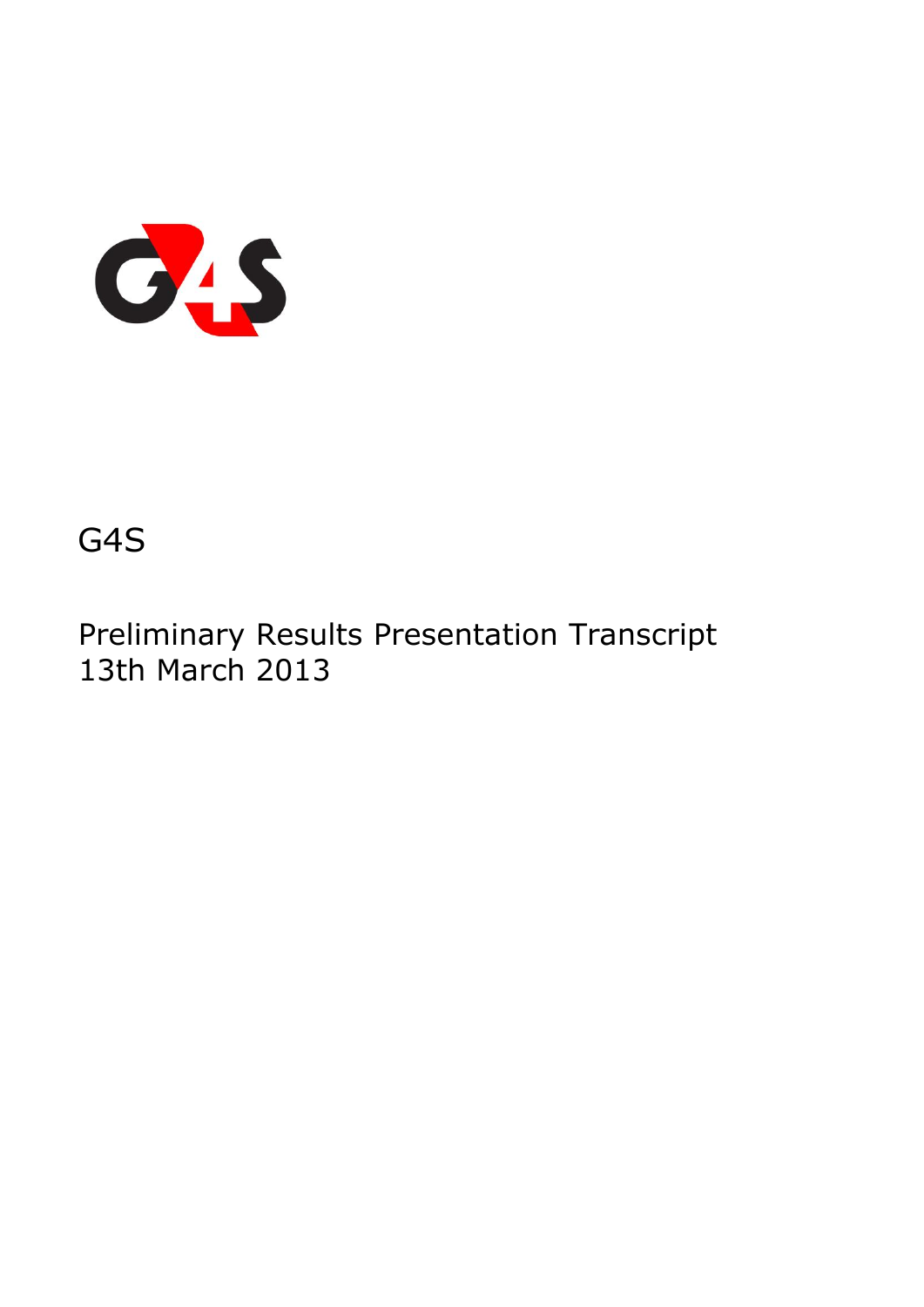

# G4S

Preliminary Results Presentation Transcript 13th March 2013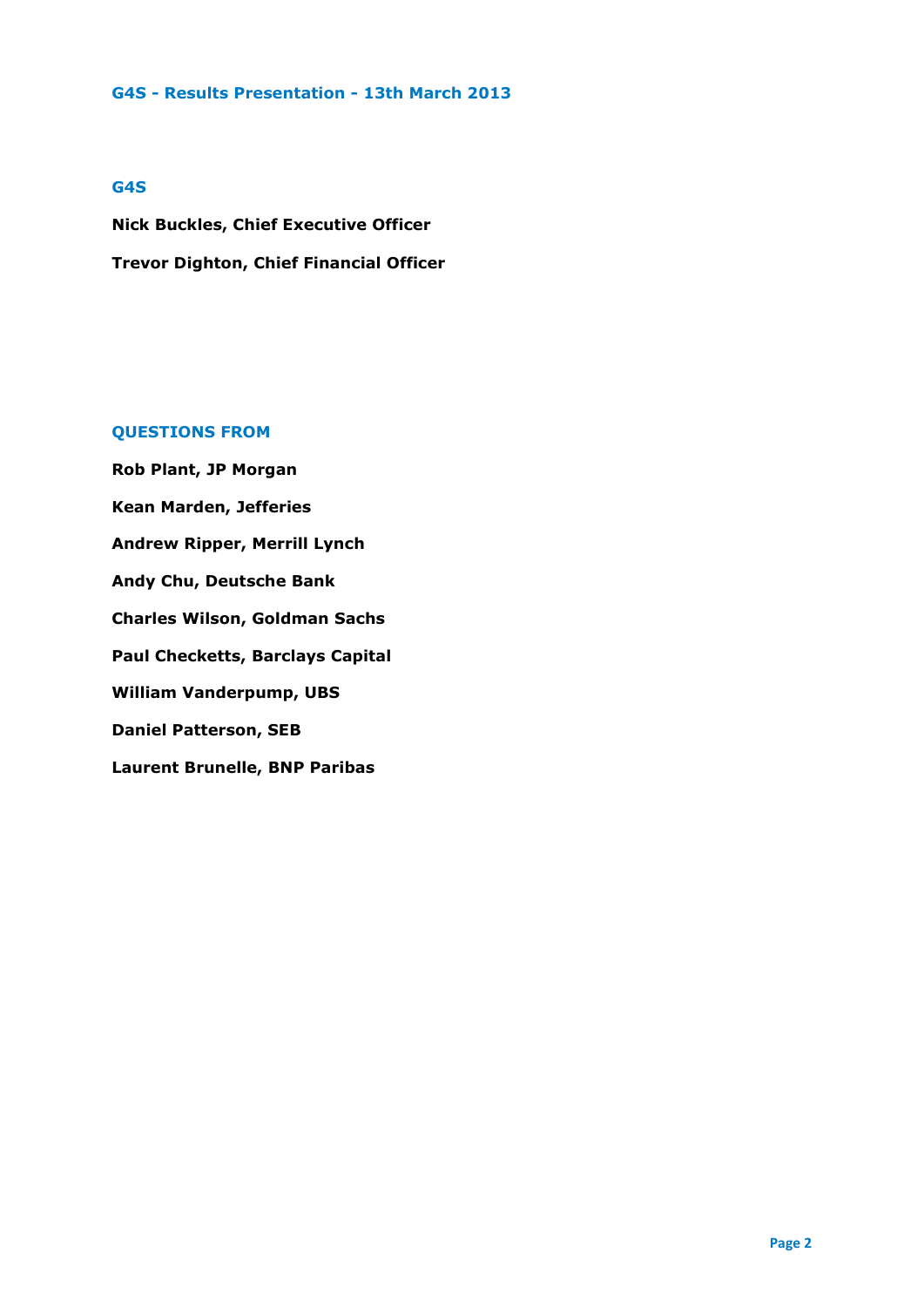#### **G4S**

**Nick Buckles, Chief Executive Officer Trevor Dighton, Chief Financial Officer** 

# **QUESTIONS FROM**

**Rob Plant, JP Morgan Kean Marden, Jefferies Andrew Ripper, Merrill Lynch Andy Chu, Deutsche Bank Charles Wilson, Goldman Sachs Paul Checketts, Barclays Capital William Vanderpump, UBS Daniel Patterson, SEB Laurent Brunelle, BNP Paribas**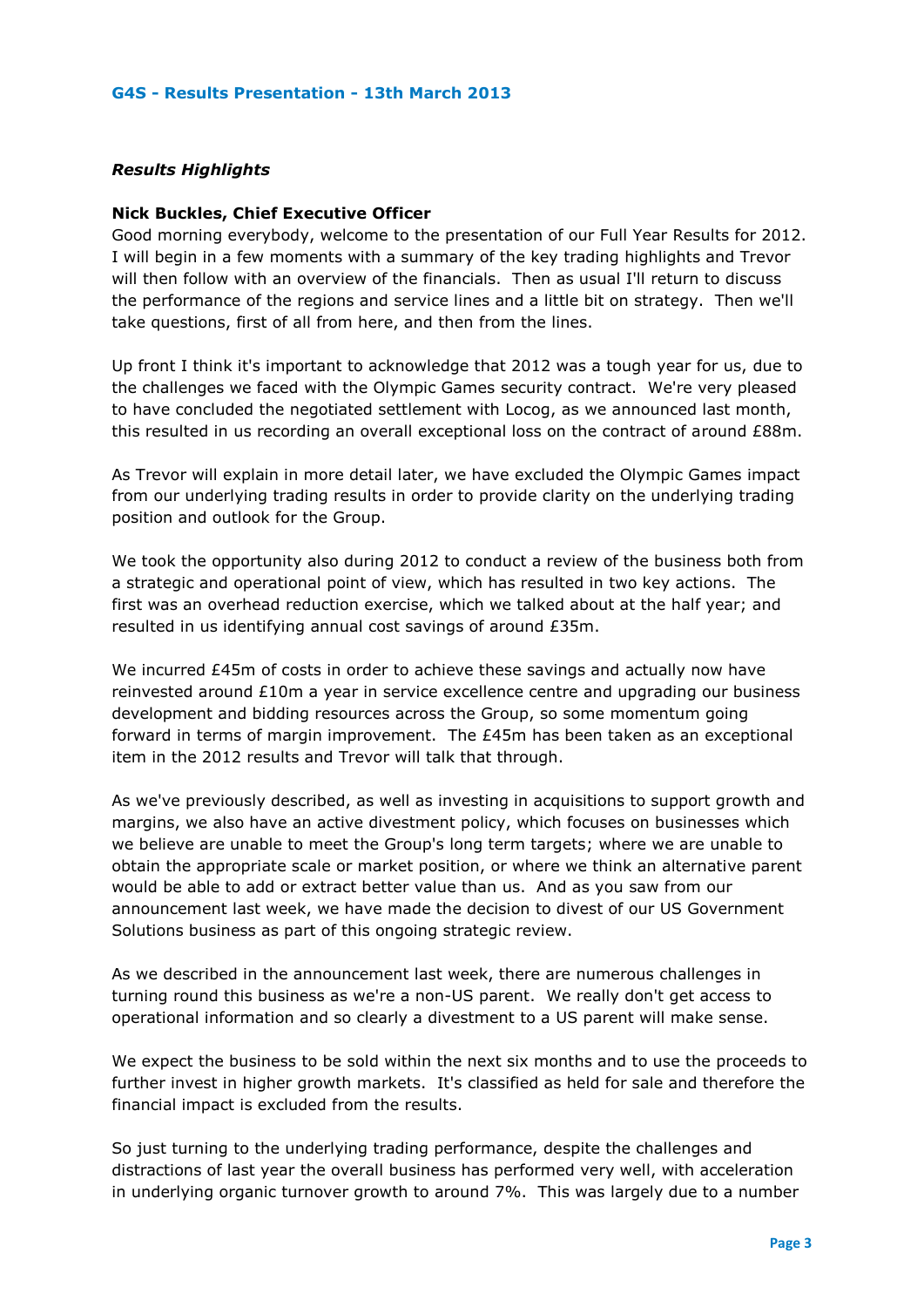# *Results Highlights*

# **Nick Buckles, Chief Executive Officer**

Good morning everybody, welcome to the presentation of our Full Year Results for 2012. I will begin in a few moments with a summary of the key trading highlights and Trevor will then follow with an overview of the financials. Then as usual I'll return to discuss the performance of the regions and service lines and a little bit on strategy. Then we'll take questions, first of all from here, and then from the lines.

Up front I think it's important to acknowledge that 2012 was a tough year for us, due to the challenges we faced with the Olympic Games security contract. We're very pleased to have concluded the negotiated settlement with Locog, as we announced last month, this resulted in us recording an overall exceptional loss on the contract of around £88m.

As Trevor will explain in more detail later, we have excluded the Olympic Games impact from our underlying trading results in order to provide clarity on the underlying trading position and outlook for the Group.

We took the opportunity also during 2012 to conduct a review of the business both from a strategic and operational point of view, which has resulted in two key actions. The first was an overhead reduction exercise, which we talked about at the half year; and resulted in us identifying annual cost savings of around £35m.

We incurred £45m of costs in order to achieve these savings and actually now have reinvested around £10m a year in service excellence centre and upgrading our business development and bidding resources across the Group, so some momentum going forward in terms of margin improvement. The £45m has been taken as an exceptional item in the 2012 results and Trevor will talk that through.

As we've previously described, as well as investing in acquisitions to support growth and margins, we also have an active divestment policy, which focuses on businesses which we believe are unable to meet the Group's long term targets; where we are unable to obtain the appropriate scale or market position, or where we think an alternative parent would be able to add or extract better value than us. And as you saw from our announcement last week, we have made the decision to divest of our US Government Solutions business as part of this ongoing strategic review.

As we described in the announcement last week, there are numerous challenges in turning round this business as we're a non-US parent. We really don't get access to operational information and so clearly a divestment to a US parent will make sense.

We expect the business to be sold within the next six months and to use the proceeds to further invest in higher growth markets. It's classified as held for sale and therefore the financial impact is excluded from the results.

So just turning to the underlying trading performance, despite the challenges and distractions of last year the overall business has performed very well, with acceleration in underlying organic turnover growth to around 7%. This was largely due to a number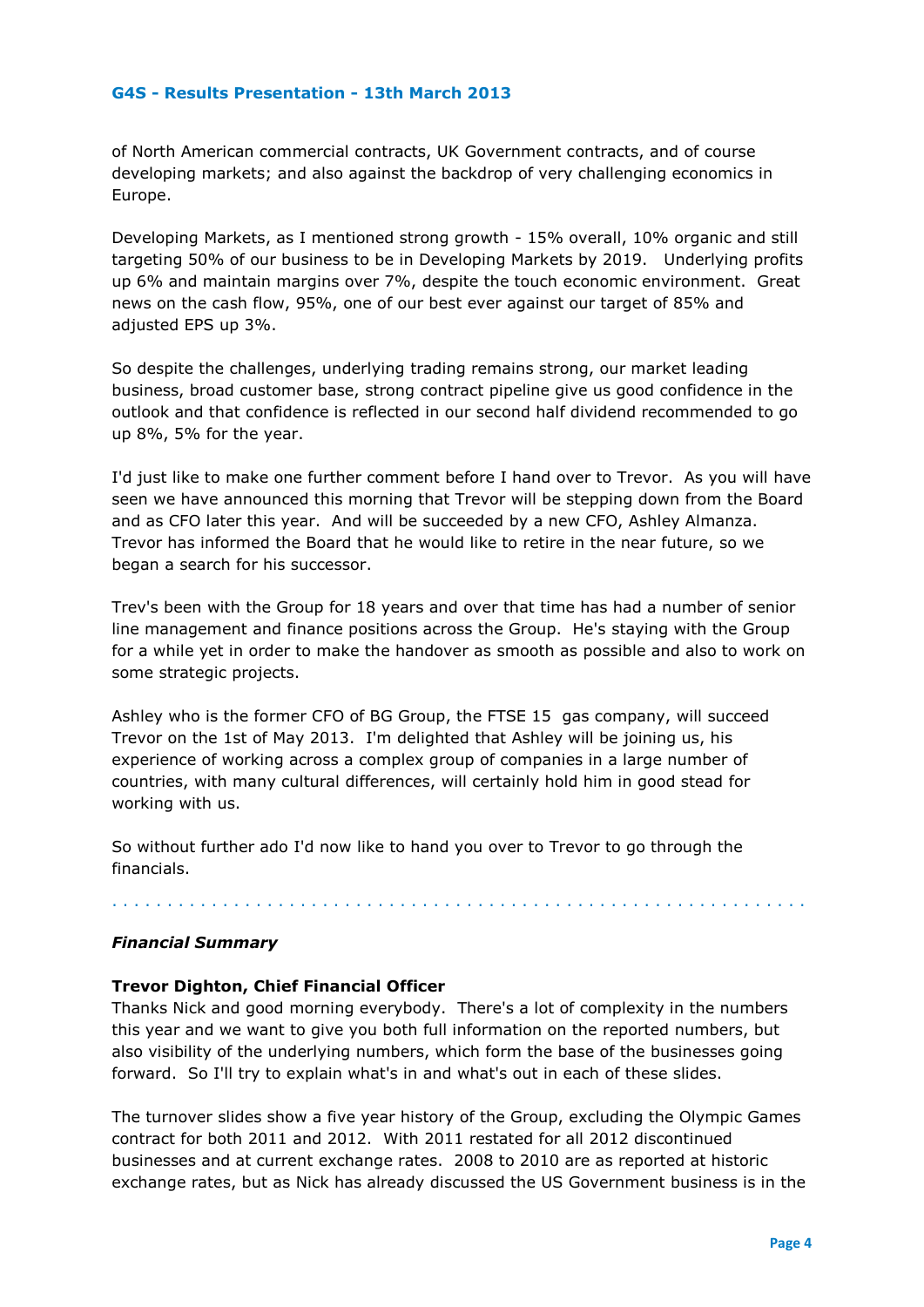of North American commercial contracts, UK Government contracts, and of course developing markets; and also against the backdrop of very challenging economics in Europe.

Developing Markets, as I mentioned strong growth - 15% overall, 10% organic and still targeting 50% of our business to be in Developing Markets by 2019. Underlying profits up 6% and maintain margins over 7%, despite the touch economic environment. Great news on the cash flow, 95%, one of our best ever against our target of 85% and adjusted EPS up 3%.

So despite the challenges, underlying trading remains strong, our market leading business, broad customer base, strong contract pipeline give us good confidence in the outlook and that confidence is reflected in our second half dividend recommended to go up 8%, 5% for the year.

I'd just like to make one further comment before I hand over to Trevor. As you will have seen we have announced this morning that Trevor will be stepping down from the Board and as CFO later this year. And will be succeeded by a new CFO, Ashley Almanza. Trevor has informed the Board that he would like to retire in the near future, so we began a search for his successor.

Trev's been with the Group for 18 years and over that time has had a number of senior line management and finance positions across the Group. He's staying with the Group for a while yet in order to make the handover as smooth as possible and also to work on some strategic projects.

Ashley who is the former CFO of BG Group, the FTSE 15 gas company, will succeed Trevor on the 1st of May 2013. I'm delighted that Ashley will be joining us, his experience of working across a complex group of companies in a large number of countries, with many cultural differences, will certainly hold him in good stead for working with us.

So without further ado I'd now like to hand you over to Trevor to go through the financials.

# *Financial Summary*

# **Trevor Dighton, Chief Financial Officer**

Thanks Nick and good morning everybody. There's a lot of complexity in the numbers this year and we want to give you both full information on the reported numbers, but also visibility of the underlying numbers, which form the base of the businesses going forward. So I'll try to explain what's in and what's out in each of these slides.

. . . . . . . . . . . . . . . . . . . . . . . . . . . . . . . . . . . . . . . . . . . . . . . . . . . . . . . . . . . . . . .

The turnover slides show a five year history of the Group, excluding the Olympic Games contract for both 2011 and 2012. With 2011 restated for all 2012 discontinued businesses and at current exchange rates. 2008 to 2010 are as reported at historic exchange rates, but as Nick has already discussed the US Government business is in the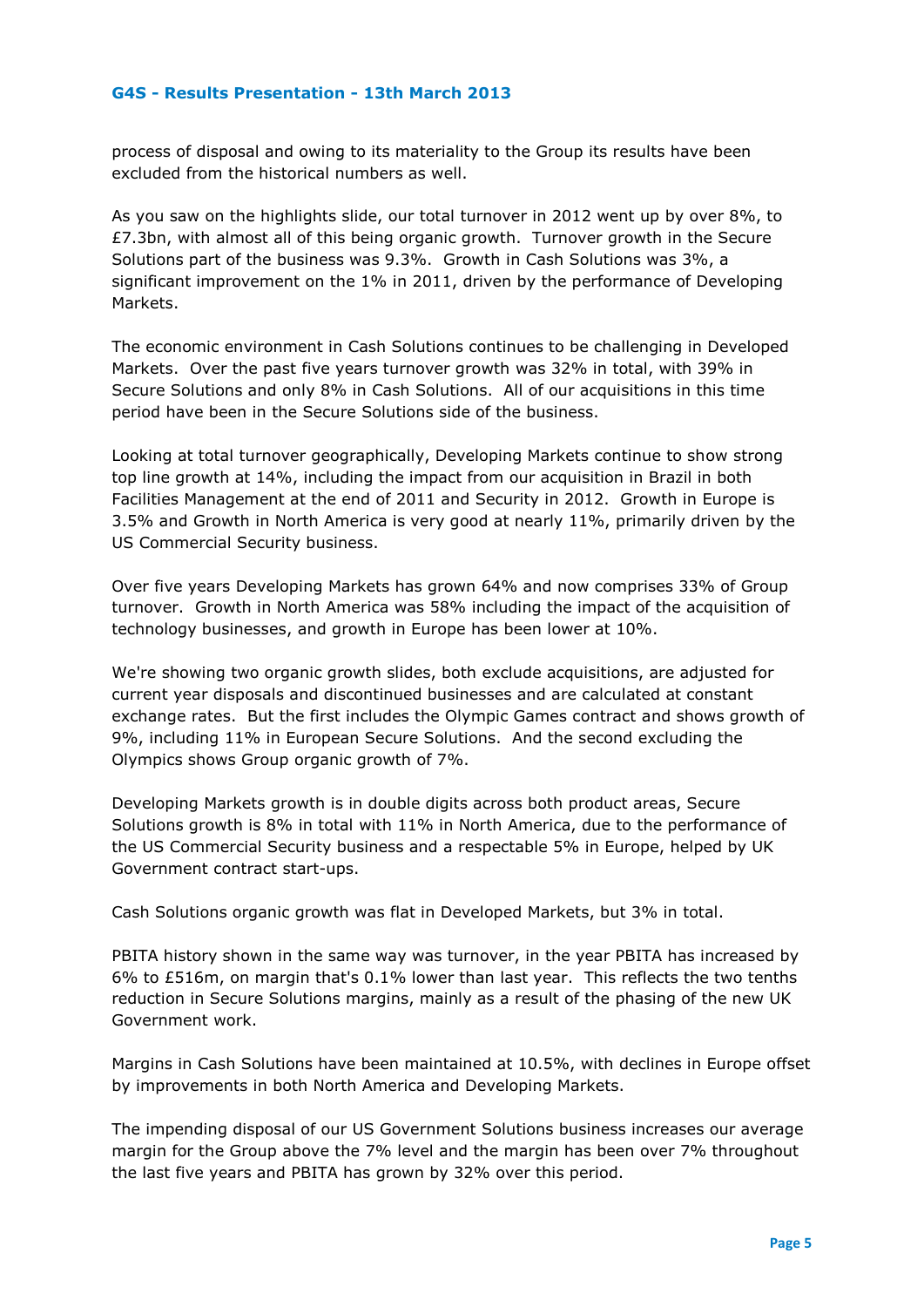process of disposal and owing to its materiality to the Group its results have been excluded from the historical numbers as well.

As you saw on the highlights slide, our total turnover in 2012 went up by over 8%, to  $£7.3$ bn, with almost all of this being organic growth. Turnover growth in the Secure Solutions part of the business was 9.3%. Growth in Cash Solutions was 3%, a significant improvement on the 1% in 2011, driven by the performance of Developing Markets.

The economic environment in Cash Solutions continues to be challenging in Developed Markets. Over the past five years turnover growth was 32% in total, with 39% in Secure Solutions and only 8% in Cash Solutions. All of our acquisitions in this time period have been in the Secure Solutions side of the business.

Looking at total turnover geographically, Developing Markets continue to show strong top line growth at 14%, including the impact from our acquisition in Brazil in both Facilities Management at the end of 2011 and Security in 2012. Growth in Europe is 3.5% and Growth in North America is very good at nearly 11%, primarily driven by the US Commercial Security business.

Over five years Developing Markets has grown 64% and now comprises 33% of Group turnover. Growth in North America was 58% including the impact of the acquisition of technology businesses, and growth in Europe has been lower at 10%.

We're showing two organic growth slides, both exclude acquisitions, are adjusted for current year disposals and discontinued businesses and are calculated at constant exchange rates. But the first includes the Olympic Games contract and shows growth of 9%, including 11% in European Secure Solutions. And the second excluding the Olympics shows Group organic growth of 7%.

Developing Markets growth is in double digits across both product areas, Secure Solutions growth is 8% in total with 11% in North America, due to the performance of the US Commercial Security business and a respectable 5% in Europe, helped by UK Government contract start-ups.

Cash Solutions organic growth was flat in Developed Markets, but 3% in total.

PBITA history shown in the same way was turnover, in the year PBITA has increased by 6% to £516m, on margin that's 0.1% lower than last year. This reflects the two tenths reduction in Secure Solutions margins, mainly as a result of the phasing of the new UK Government work.

Margins in Cash Solutions have been maintained at 10.5%, with declines in Europe offset by improvements in both North America and Developing Markets.

The impending disposal of our US Government Solutions business increases our average margin for the Group above the 7% level and the margin has been over 7% throughout the last five years and PBITA has grown by 32% over this period.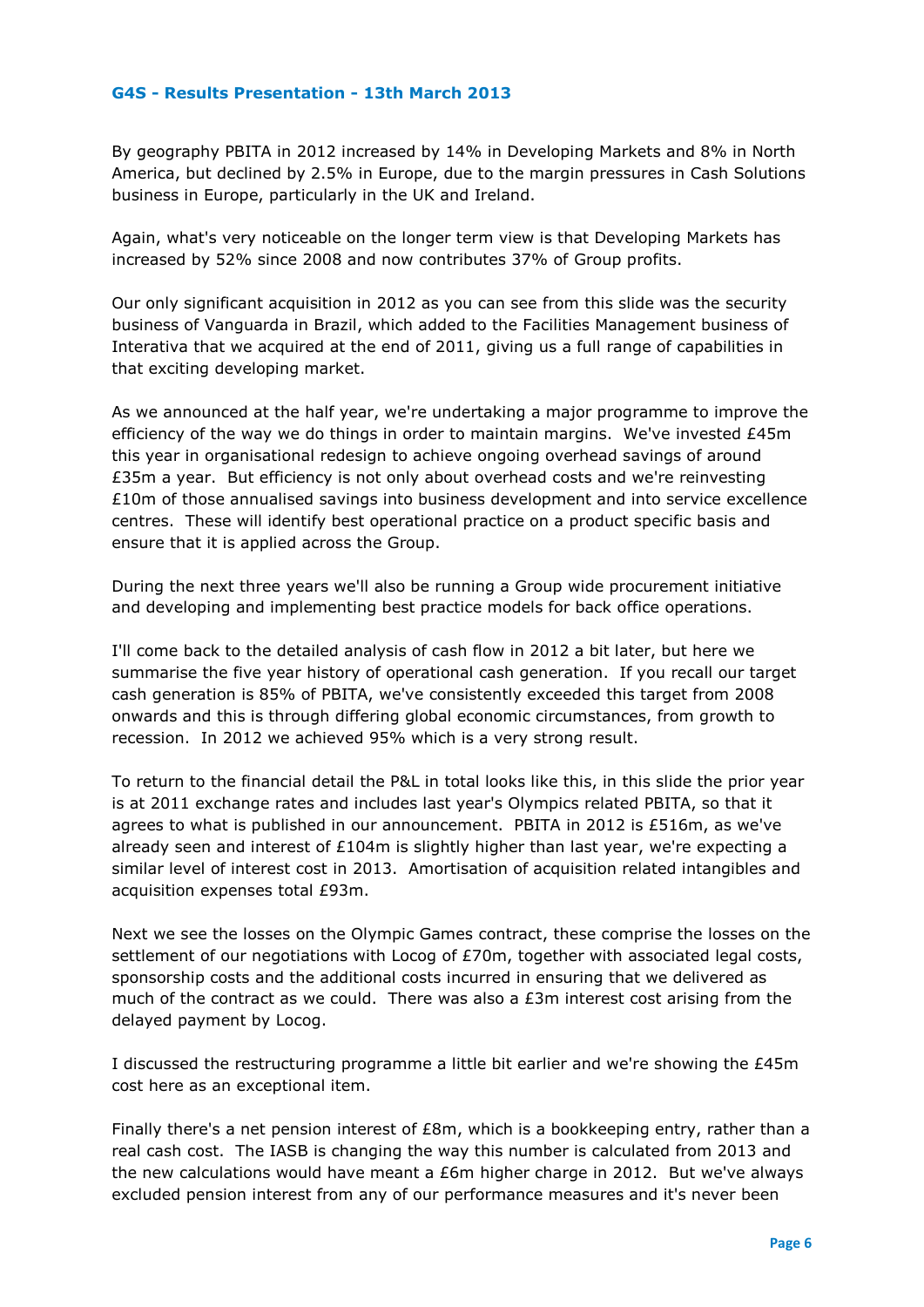By geography PBITA in 2012 increased by 14% in Developing Markets and 8% in North America, but declined by 2.5% in Europe, due to the margin pressures in Cash Solutions business in Europe, particularly in the UK and Ireland.

Again, what's very noticeable on the longer term view is that Developing Markets has increased by 52% since 2008 and now contributes 37% of Group profits.

Our only significant acquisition in 2012 as you can see from this slide was the security business of Vanguarda in Brazil, which added to the Facilities Management business of Interativa that we acquired at the end of 2011, giving us a full range of capabilities in that exciting developing market.

As we announced at the half year, we're undertaking a major programme to improve the efficiency of the way we do things in order to maintain margins. We've invested £45m this year in organisational redesign to achieve ongoing overhead savings of around £35m a year. But efficiency is not only about overhead costs and we're reinvesting £10m of those annualised savings into business development and into service excellence centres. These will identify best operational practice on a product specific basis and ensure that it is applied across the Group.

During the next three years we'll also be running a Group wide procurement initiative and developing and implementing best practice models for back office operations.

I'll come back to the detailed analysis of cash flow in 2012 a bit later, but here we summarise the five year history of operational cash generation. If you recall our target cash generation is 85% of PBITA, we've consistently exceeded this target from 2008 onwards and this is through differing global economic circumstances, from growth to recession. In 2012 we achieved 95% which is a very strong result.

To return to the financial detail the P&L in total looks like this, in this slide the prior year is at 2011 exchange rates and includes last year's Olympics related PBITA, so that it agrees to what is published in our announcement. PBITA in 2012 is £516m, as we've already seen and interest of £104m is slightly higher than last year, we're expecting a similar level of interest cost in 2013. Amortisation of acquisition related intangibles and acquisition expenses total £93m.

Next we see the losses on the Olympic Games contract, these comprise the losses on the settlement of our negotiations with Locog of £70m, together with associated legal costs, sponsorship costs and the additional costs incurred in ensuring that we delivered as much of the contract as we could. There was also a  $E3m$  interest cost arising from the delayed payment by Locog.

I discussed the restructuring programme a little bit earlier and we're showing the £45m cost here as an exceptional item.

Finally there's a net pension interest of  $E8m$ , which is a bookkeeping entry, rather than a real cash cost. The IASB is changing the way this number is calculated from 2013 and the new calculations would have meant a  $E$ 6m higher charge in 2012. But we've always excluded pension interest from any of our performance measures and it's never been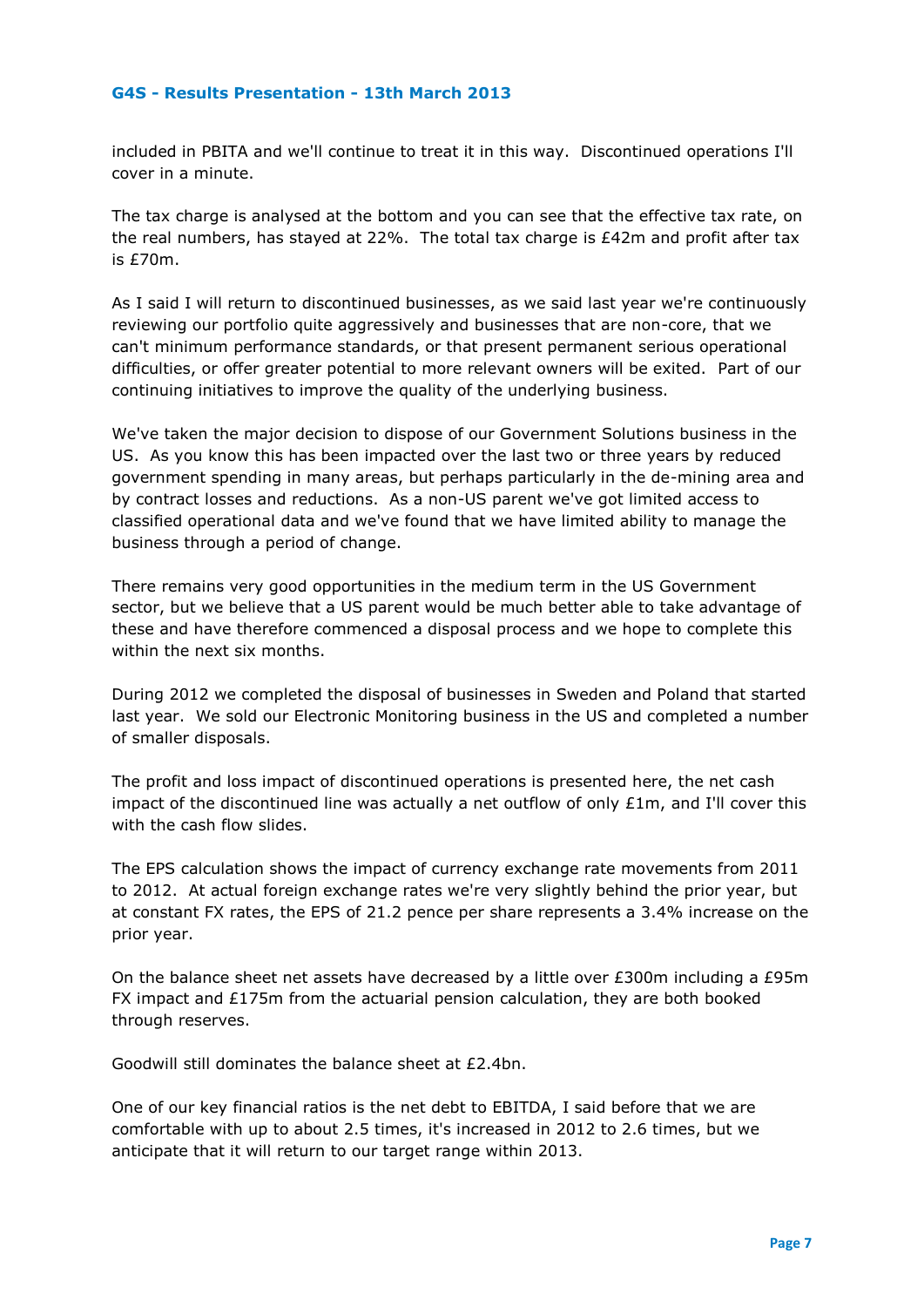included in PBITA and we'll continue to treat it in this way. Discontinued operations I'll cover in a minute.

The tax charge is analysed at the bottom and you can see that the effective tax rate, on the real numbers, has stayed at 22%. The total tax charge is £42m and profit after tax is £70m.

As I said I will return to discontinued businesses, as we said last year we're continuously reviewing our portfolio quite aggressively and businesses that are non-core, that we can't minimum performance standards, or that present permanent serious operational difficulties, or offer greater potential to more relevant owners will be exited. Part of our continuing initiatives to improve the quality of the underlying business.

We've taken the major decision to dispose of our Government Solutions business in the US. As you know this has been impacted over the last two or three years by reduced government spending in many areas, but perhaps particularly in the de-mining area and by contract losses and reductions. As a non-US parent we've got limited access to classified operational data and we've found that we have limited ability to manage the business through a period of change.

There remains very good opportunities in the medium term in the US Government sector, but we believe that a US parent would be much better able to take advantage of these and have therefore commenced a disposal process and we hope to complete this within the next six months.

During 2012 we completed the disposal of businesses in Sweden and Poland that started last year. We sold our Electronic Monitoring business in the US and completed a number of smaller disposals.

The profit and loss impact of discontinued operations is presented here, the net cash impact of the discontinued line was actually a net outflow of only £1m, and I'll cover this with the cash flow slides.

The EPS calculation shows the impact of currency exchange rate movements from 2011 to 2012. At actual foreign exchange rates we're very slightly behind the prior year, but at constant FX rates, the EPS of 21.2 pence per share represents a 3.4% increase on the prior year.

On the balance sheet net assets have decreased by a little over  $£300m$  including a  $£95m$ FX impact and  $£175m$  from the actuarial pension calculation, they are both booked through reserves.

Goodwill still dominates the balance sheet at £2.4bn.

One of our key financial ratios is the net debt to EBITDA, I said before that we are comfortable with up to about 2.5 times, it's increased in 2012 to 2.6 times, but we anticipate that it will return to our target range within 2013.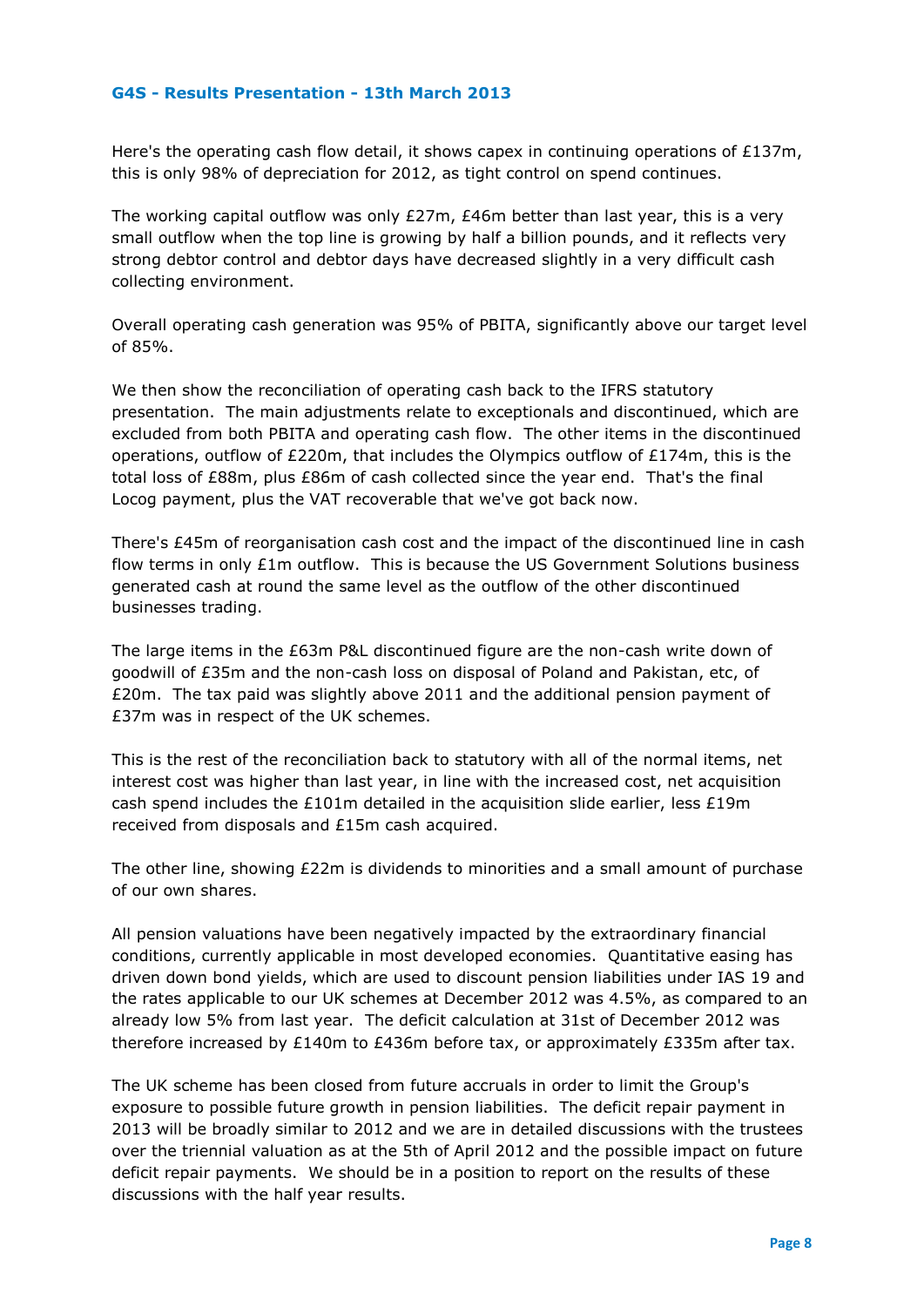Here's the operating cash flow detail, it shows capex in continuing operations of £137m, this is only 98% of depreciation for 2012, as tight control on spend continues.

The working capital outflow was only £27m, £46m better than last year, this is a very small outflow when the top line is growing by half a billion pounds, and it reflects very strong debtor control and debtor days have decreased slightly in a very difficult cash collecting environment.

Overall operating cash generation was 95% of PBITA, significantly above our target level of 85%.

We then show the reconciliation of operating cash back to the IFRS statutory presentation. The main adjustments relate to exceptionals and discontinued, which are excluded from both PBITA and operating cash flow. The other items in the discontinued operations, outflow of  $E220m$ , that includes the Olympics outflow of  $E174m$ , this is the total loss of £88m, plus £86m of cash collected since the year end. That's the final Locog payment, plus the VAT recoverable that we've got back now.

There's £45m of reorganisation cash cost and the impact of the discontinued line in cash flow terms in only  $£1m$  outflow. This is because the US Government Solutions business generated cash at round the same level as the outflow of the other discontinued businesses trading.

The large items in the £63m P&L discontinued figure are the non-cash write down of goodwill of £35m and the non-cash loss on disposal of Poland and Pakistan, etc, of £20m. The tax paid was slightly above 2011 and the additional pension payment of £37m was in respect of the UK schemes.

This is the rest of the reconciliation back to statutory with all of the normal items, net interest cost was higher than last year, in line with the increased cost, net acquisition cash spend includes the £101m detailed in the acquisition slide earlier, less £19m received from disposals and £15m cash acquired.

The other line, showing £22m is dividends to minorities and a small amount of purchase of our own shares.

All pension valuations have been negatively impacted by the extraordinary financial conditions, currently applicable in most developed economies. Quantitative easing has driven down bond yields, which are used to discount pension liabilities under IAS 19 and the rates applicable to our UK schemes at December 2012 was 4.5%, as compared to an already low 5% from last year. The deficit calculation at 31st of December 2012 was therefore increased by £140m to £436m before tax, or approximately £335m after tax.

The UK scheme has been closed from future accruals in order to limit the Group's exposure to possible future growth in pension liabilities. The deficit repair payment in 2013 will be broadly similar to 2012 and we are in detailed discussions with the trustees over the triennial valuation as at the 5th of April 2012 and the possible impact on future deficit repair payments. We should be in a position to report on the results of these discussions with the half year results.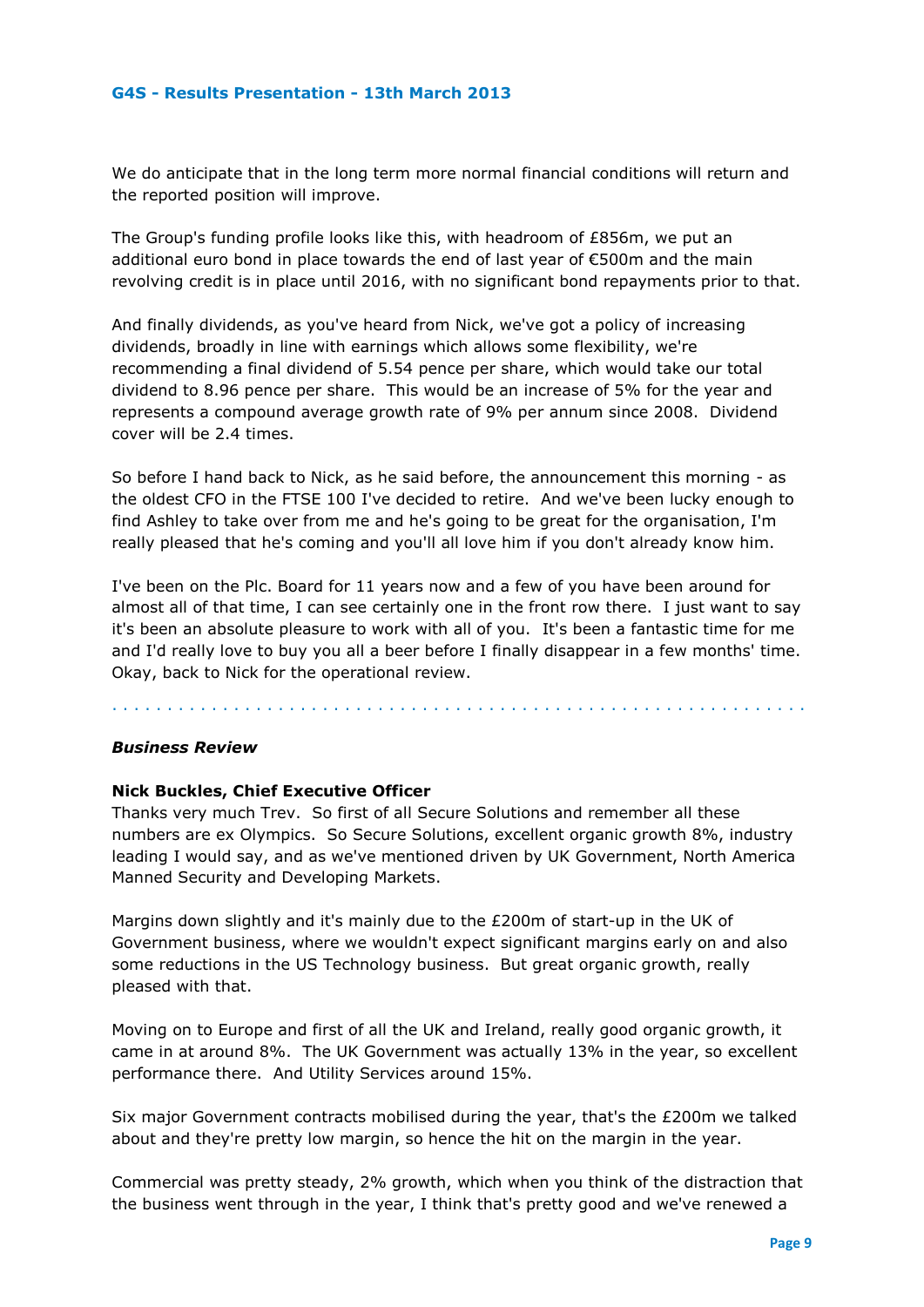We do anticipate that in the long term more normal financial conditions will return and the reported position will improve.

The Group's funding profile looks like this, with headroom of £856m, we put an additional euro bond in place towards the end of last year of €500m and the main revolving credit is in place until 2016, with no significant bond repayments prior to that.

And finally dividends, as you've heard from Nick, we've got a policy of increasing dividends, broadly in line with earnings which allows some flexibility, we're recommending a final dividend of 5.54 pence per share, which would take our total dividend to 8.96 pence per share. This would be an increase of 5% for the year and represents a compound average growth rate of 9% per annum since 2008. Dividend cover will be 2.4 times.

So before I hand back to Nick, as he said before, the announcement this morning - as the oldest CFO in the FTSE 100 I've decided to retire. And we've been lucky enough to find Ashley to take over from me and he's going to be great for the organisation, I'm really pleased that he's coming and you'll all love him if you don't already know him.

I've been on the Plc. Board for 11 years now and a few of you have been around for almost all of that time, I can see certainly one in the front row there. I just want to say it's been an absolute pleasure to work with all of you. It's been a fantastic time for me and I'd really love to buy you all a beer before I finally disappear in a few months' time. Okay, back to Nick for the operational review.

. . . . . . . . . . . . . . . . . . . . . . . . . . . . . . . . . . . . . . . . . . . . . . . . . . . . . . . . . . . . . . .

# *Business Review*

# **Nick Buckles, Chief Executive Officer**

Thanks very much Trev. So first of all Secure Solutions and remember all these numbers are ex Olympics. So Secure Solutions, excellent organic growth 8%, industry leading I would say, and as we've mentioned driven by UK Government, North America Manned Security and Developing Markets.

Margins down slightly and it's mainly due to the £200m of start-up in the UK of Government business, where we wouldn't expect significant margins early on and also some reductions in the US Technology business. But great organic growth, really pleased with that.

Moving on to Europe and first of all the UK and Ireland, really good organic growth, it came in at around 8%. The UK Government was actually 13% in the year, so excellent performance there. And Utility Services around 15%.

Six major Government contracts mobilised during the year, that's the £200m we talked about and they're pretty low margin, so hence the hit on the margin in the year.

Commercial was pretty steady, 2% growth, which when you think of the distraction that the business went through in the year, I think that's pretty good and we've renewed a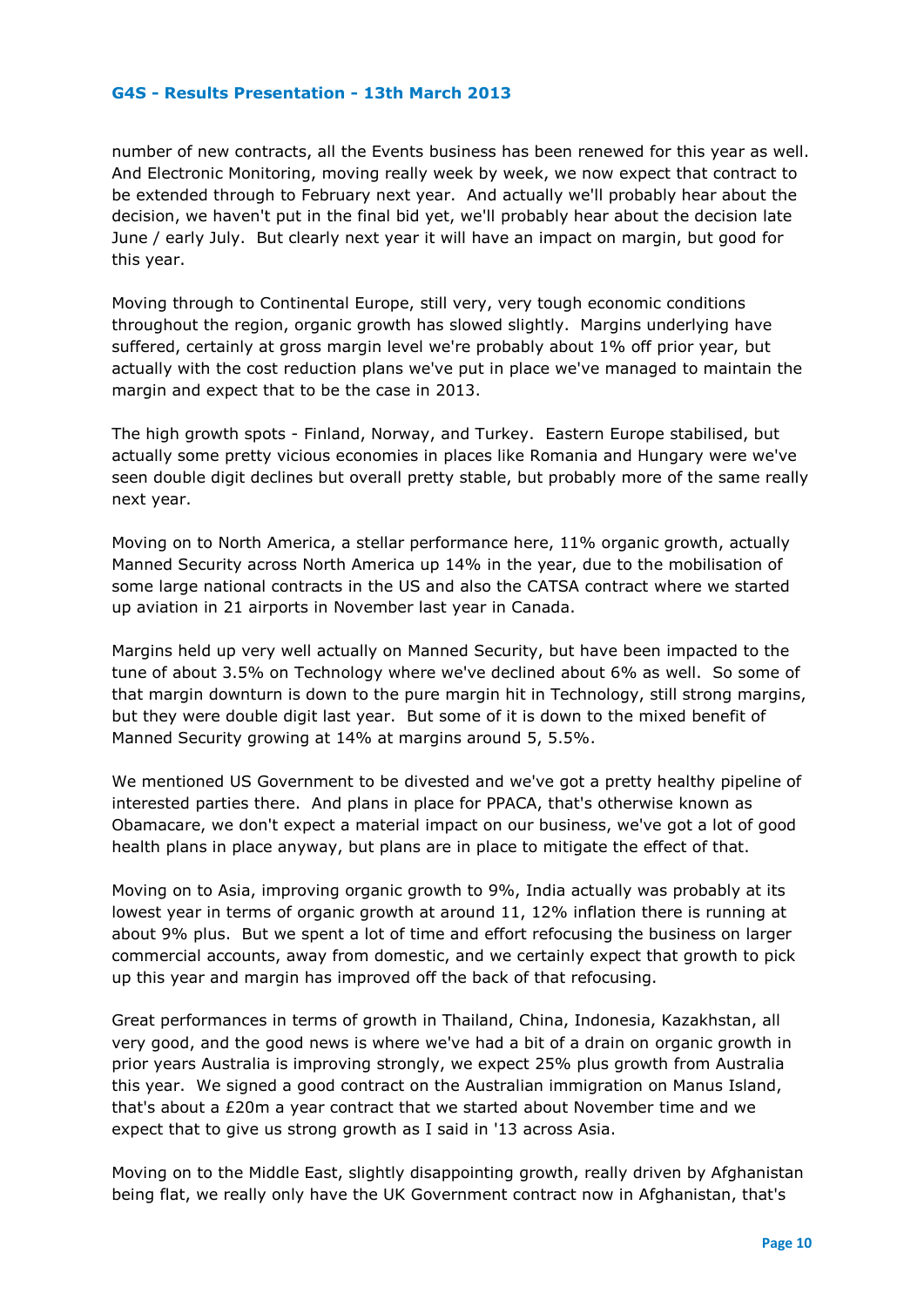number of new contracts, all the Events business has been renewed for this year as well. And Electronic Monitoring, moving really week by week, we now expect that contract to be extended through to February next year. And actually we'll probably hear about the decision, we haven't put in the final bid yet, we'll probably hear about the decision late June / early July. But clearly next year it will have an impact on margin, but good for this year.

Moving through to Continental Europe, still very, very tough economic conditions throughout the region, organic growth has slowed slightly. Margins underlying have suffered, certainly at gross margin level we're probably about 1% off prior year, but actually with the cost reduction plans we've put in place we've managed to maintain the margin and expect that to be the case in 2013.

The high growth spots - Finland, Norway, and Turkey. Eastern Europe stabilised, but actually some pretty vicious economies in places like Romania and Hungary were we've seen double digit declines but overall pretty stable, but probably more of the same really next year.

Moving on to North America, a stellar performance here, 11% organic growth, actually Manned Security across North America up 14% in the year, due to the mobilisation of some large national contracts in the US and also the CATSA contract where we started up aviation in 21 airports in November last year in Canada.

Margins held up very well actually on Manned Security, but have been impacted to the tune of about 3.5% on Technology where we've declined about 6% as well. So some of that margin downturn is down to the pure margin hit in Technology, still strong margins, but they were double digit last year. But some of it is down to the mixed benefit of Manned Security growing at 14% at margins around 5, 5.5%.

We mentioned US Government to be divested and we've got a pretty healthy pipeline of interested parties there. And plans in place for PPACA, that's otherwise known as Obamacare, we don't expect a material impact on our business, we've got a lot of good health plans in place anyway, but plans are in place to mitigate the effect of that.

Moving on to Asia, improving organic growth to 9%, India actually was probably at its lowest year in terms of organic growth at around 11, 12% inflation there is running at about 9% plus. But we spent a lot of time and effort refocusing the business on larger commercial accounts, away from domestic, and we certainly expect that growth to pick up this year and margin has improved off the back of that refocusing.

Great performances in terms of growth in Thailand, China, Indonesia, Kazakhstan, all very good, and the good news is where we've had a bit of a drain on organic growth in prior years Australia is improving strongly, we expect 25% plus growth from Australia this year. We signed a good contract on the Australian immigration on Manus Island, that's about a £20m a year contract that we started about November time and we expect that to give us strong growth as I said in '13 across Asia.

Moving on to the Middle East, slightly disappointing growth, really driven by Afghanistan being flat, we really only have the UK Government contract now in Afghanistan, that's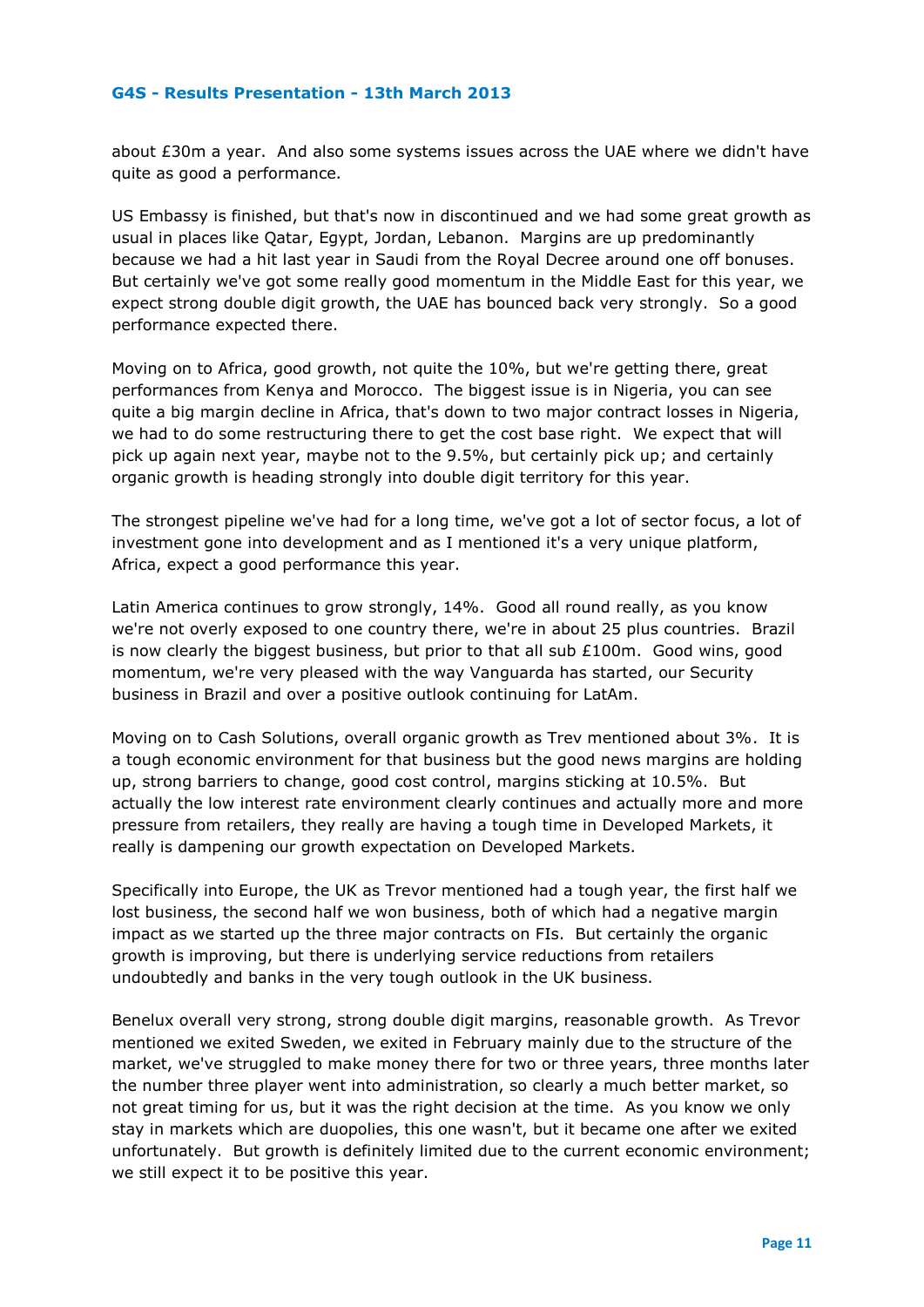about £30m a year. And also some systems issues across the UAE where we didn't have quite as good a performance.

US Embassy is finished, but that's now in discontinued and we had some great growth as usual in places like Qatar, Egypt, Jordan, Lebanon. Margins are up predominantly because we had a hit last year in Saudi from the Royal Decree around one off bonuses. But certainly we've got some really good momentum in the Middle East for this year, we expect strong double digit growth, the UAE has bounced back very strongly. So a good performance expected there.

Moving on to Africa, good growth, not quite the 10%, but we're getting there, great performances from Kenya and Morocco. The biggest issue is in Nigeria, you can see quite a big margin decline in Africa, that's down to two major contract losses in Nigeria, we had to do some restructuring there to get the cost base right. We expect that will pick up again next year, maybe not to the 9.5%, but certainly pick up; and certainly organic growth is heading strongly into double digit territory for this year.

The strongest pipeline we've had for a long time, we've got a lot of sector focus, a lot of investment gone into development and as I mentioned it's a very unique platform, Africa, expect a good performance this year.

Latin America continues to grow strongly, 14%. Good all round really, as you know we're not overly exposed to one country there, we're in about 25 plus countries. Brazil is now clearly the biggest business, but prior to that all sub  $£100m$ . Good wins, good momentum, we're very pleased with the way Vanguarda has started, our Security business in Brazil and over a positive outlook continuing for LatAm.

Moving on to Cash Solutions, overall organic growth as Trev mentioned about 3%. It is a tough economic environment for that business but the good news margins are holding up, strong barriers to change, good cost control, margins sticking at 10.5%. But actually the low interest rate environment clearly continues and actually more and more pressure from retailers, they really are having a tough time in Developed Markets, it really is dampening our growth expectation on Developed Markets.

Specifically into Europe, the UK as Trevor mentioned had a tough year, the first half we lost business, the second half we won business, both of which had a negative margin impact as we started up the three major contracts on FIs. But certainly the organic growth is improving, but there is underlying service reductions from retailers undoubtedly and banks in the very tough outlook in the UK business.

Benelux overall very strong, strong double digit margins, reasonable growth. As Trevor mentioned we exited Sweden, we exited in February mainly due to the structure of the market, we've struggled to make money there for two or three years, three months later the number three player went into administration, so clearly a much better market, so not great timing for us, but it was the right decision at the time. As you know we only stay in markets which are duopolies, this one wasn't, but it became one after we exited unfortunately. But growth is definitely limited due to the current economic environment; we still expect it to be positive this year.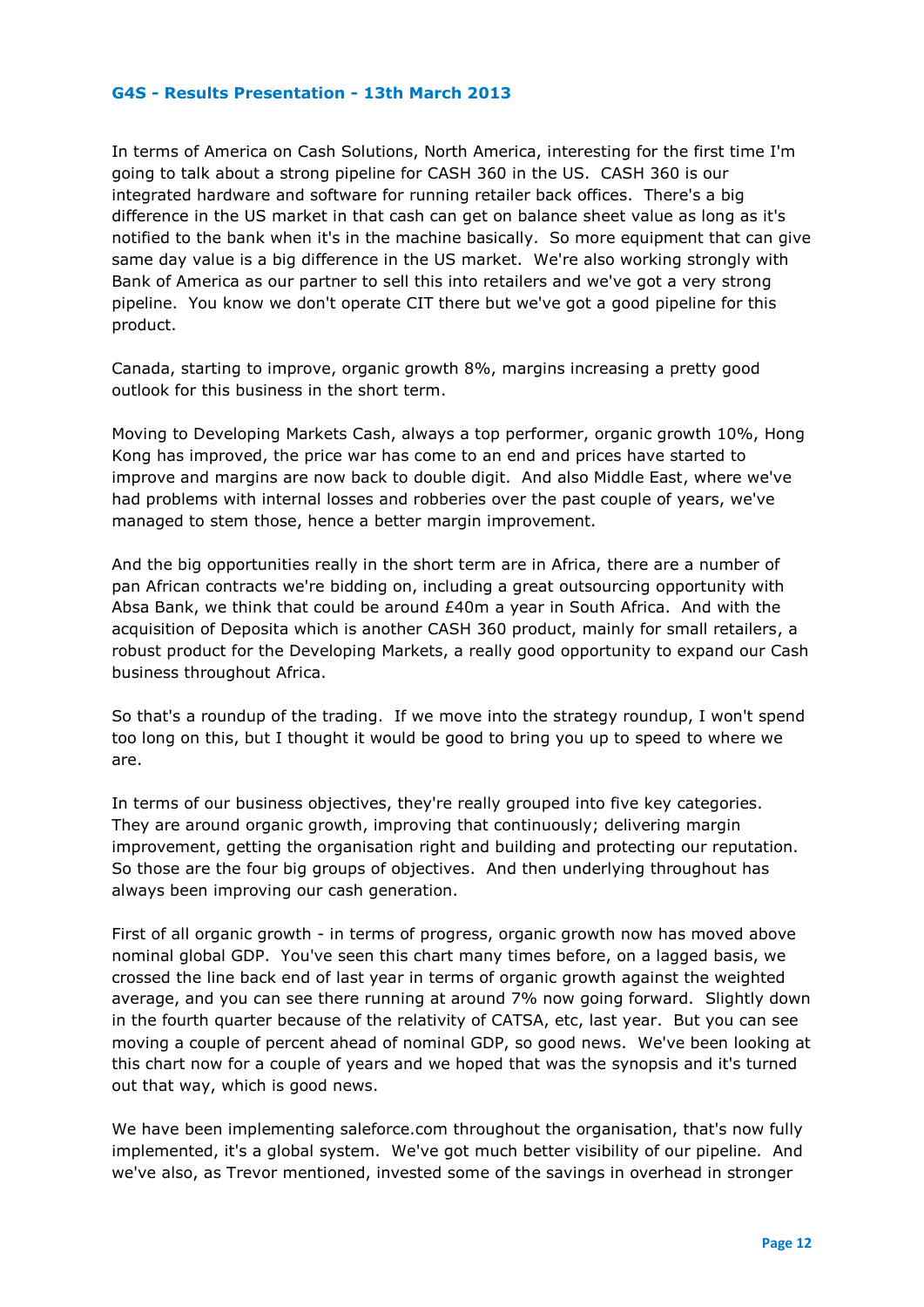In terms of America on Cash Solutions, North America, interesting for the first time I'm going to talk about a strong pipeline for CASH 360 in the US. CASH 360 is our integrated hardware and software for running retailer back offices. There's a big difference in the US market in that cash can get on balance sheet value as long as it's notified to the bank when it's in the machine basically. So more equipment that can give same day value is a big difference in the US market. We're also working strongly with Bank of America as our partner to sell this into retailers and we've got a very strong pipeline. You know we don't operate CIT there but we've got a good pipeline for this product.

Canada, starting to improve, organic growth 8%, margins increasing a pretty good outlook for this business in the short term.

Moving to Developing Markets Cash, always a top performer, organic growth 10%, Hong Kong has improved, the price war has come to an end and prices have started to improve and margins are now back to double digit. And also Middle East, where we've had problems with internal losses and robberies over the past couple of years, we've managed to stem those, hence a better margin improvement.

And the big opportunities really in the short term are in Africa, there are a number of pan African contracts we're bidding on, including a great outsourcing opportunity with Absa Bank, we think that could be around £40m a year in South Africa. And with the acquisition of Deposita which is another CASH 360 product, mainly for small retailers, a robust product for the Developing Markets, a really good opportunity to expand our Cash business throughout Africa.

So that's a roundup of the trading. If we move into the strategy roundup, I won't spend too long on this, but I thought it would be good to bring you up to speed to where we are.

In terms of our business objectives, they're really grouped into five key categories. They are around organic growth, improving that continuously; delivering margin improvement, getting the organisation right and building and protecting our reputation. So those are the four big groups of objectives. And then underlying throughout has always been improving our cash generation.

First of all organic growth - in terms of progress, organic growth now has moved above nominal global GDP. You've seen this chart many times before, on a lagged basis, we crossed the line back end of last year in terms of organic growth against the weighted average, and you can see there running at around 7% now going forward. Slightly down in the fourth quarter because of the relativity of CATSA, etc, last year. But you can see moving a couple of percent ahead of nominal GDP, so good news. We've been looking at this chart now for a couple of years and we hoped that was the synopsis and it's turned out that way, which is good news.

We have been implementing saleforce.com throughout the organisation, that's now fully implemented, it's a global system. We've got much better visibility of our pipeline. And we've also, as Trevor mentioned, invested some of the savings in overhead in stronger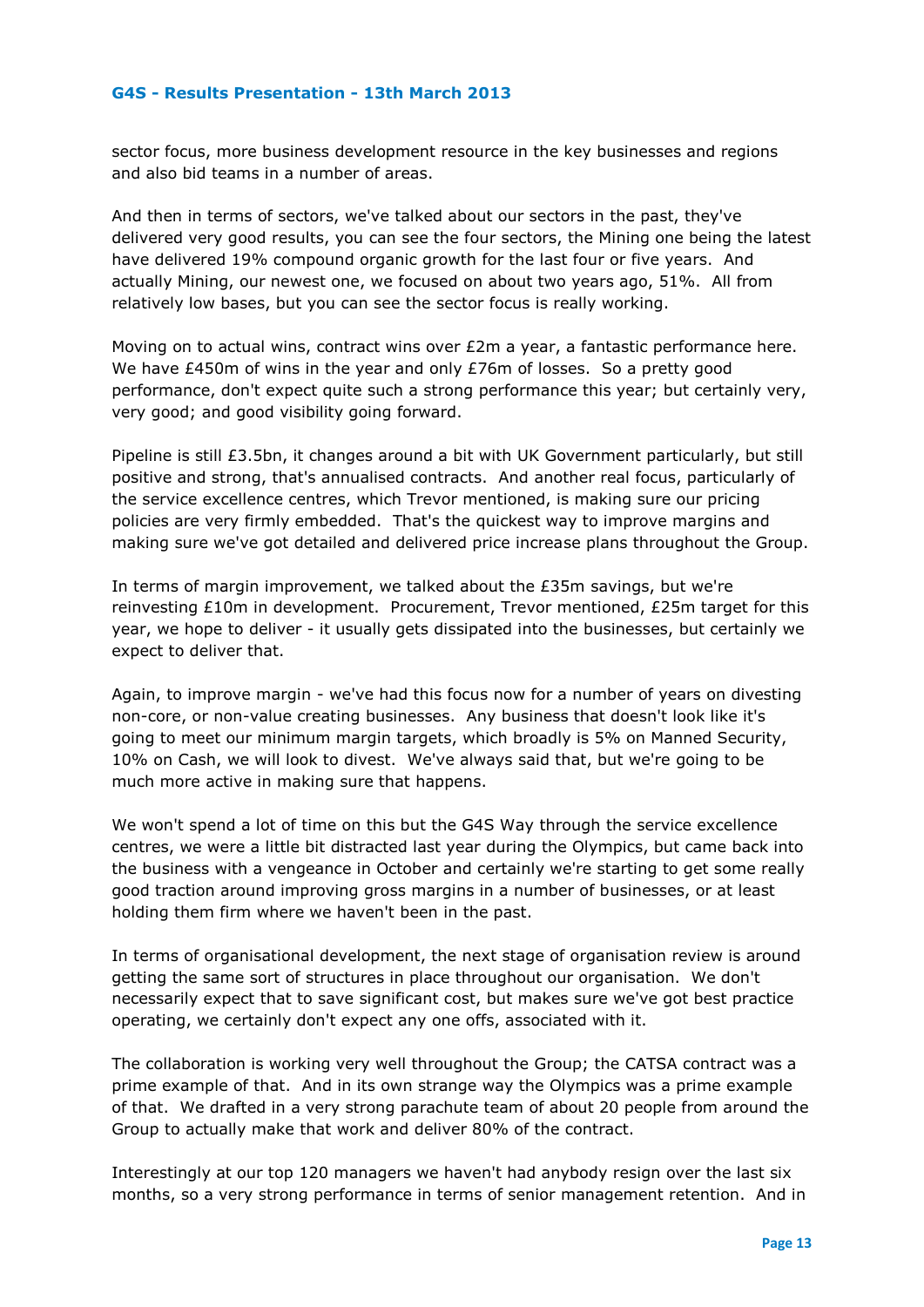sector focus, more business development resource in the key businesses and regions and also bid teams in a number of areas.

And then in terms of sectors, we've talked about our sectors in the past, they've delivered very good results, you can see the four sectors, the Mining one being the latest have delivered 19% compound organic growth for the last four or five years. And actually Mining, our newest one, we focused on about two years ago, 51%. All from relatively low bases, but you can see the sector focus is really working.

Moving on to actual wins, contract wins over  $E2m$  a year, a fantastic performance here. We have £450m of wins in the year and only £76m of losses. So a pretty good performance, don't expect quite such a strong performance this year; but certainly very, very good; and good visibility going forward.

Pipeline is still £3.5bn, it changes around a bit with UK Government particularly, but still positive and strong, that's annualised contracts. And another real focus, particularly of the service excellence centres, which Trevor mentioned, is making sure our pricing policies are very firmly embedded. That's the quickest way to improve margins and making sure we've got detailed and delivered price increase plans throughout the Group.

In terms of margin improvement, we talked about the £35m savings, but we're reinvesting £10m in development. Procurement, Trevor mentioned, £25m target for this year, we hope to deliver - it usually gets dissipated into the businesses, but certainly we expect to deliver that.

Again, to improve margin - we've had this focus now for a number of years on divesting non-core, or non-value creating businesses. Any business that doesn't look like it's going to meet our minimum margin targets, which broadly is 5% on Manned Security, 10% on Cash, we will look to divest. We've always said that, but we're going to be much more active in making sure that happens.

We won't spend a lot of time on this but the G4S Way through the service excellence centres, we were a little bit distracted last year during the Olympics, but came back into the business with a vengeance in October and certainly we're starting to get some really good traction around improving gross margins in a number of businesses, or at least holding them firm where we haven't been in the past.

In terms of organisational development, the next stage of organisation review is around getting the same sort of structures in place throughout our organisation. We don't necessarily expect that to save significant cost, but makes sure we've got best practice operating, we certainly don't expect any one offs, associated with it.

The collaboration is working very well throughout the Group; the CATSA contract was a prime example of that. And in its own strange way the Olympics was a prime example of that. We drafted in a very strong parachute team of about 20 people from around the Group to actually make that work and deliver 80% of the contract.

Interestingly at our top 120 managers we haven't had anybody resign over the last six months, so a very strong performance in terms of senior management retention. And in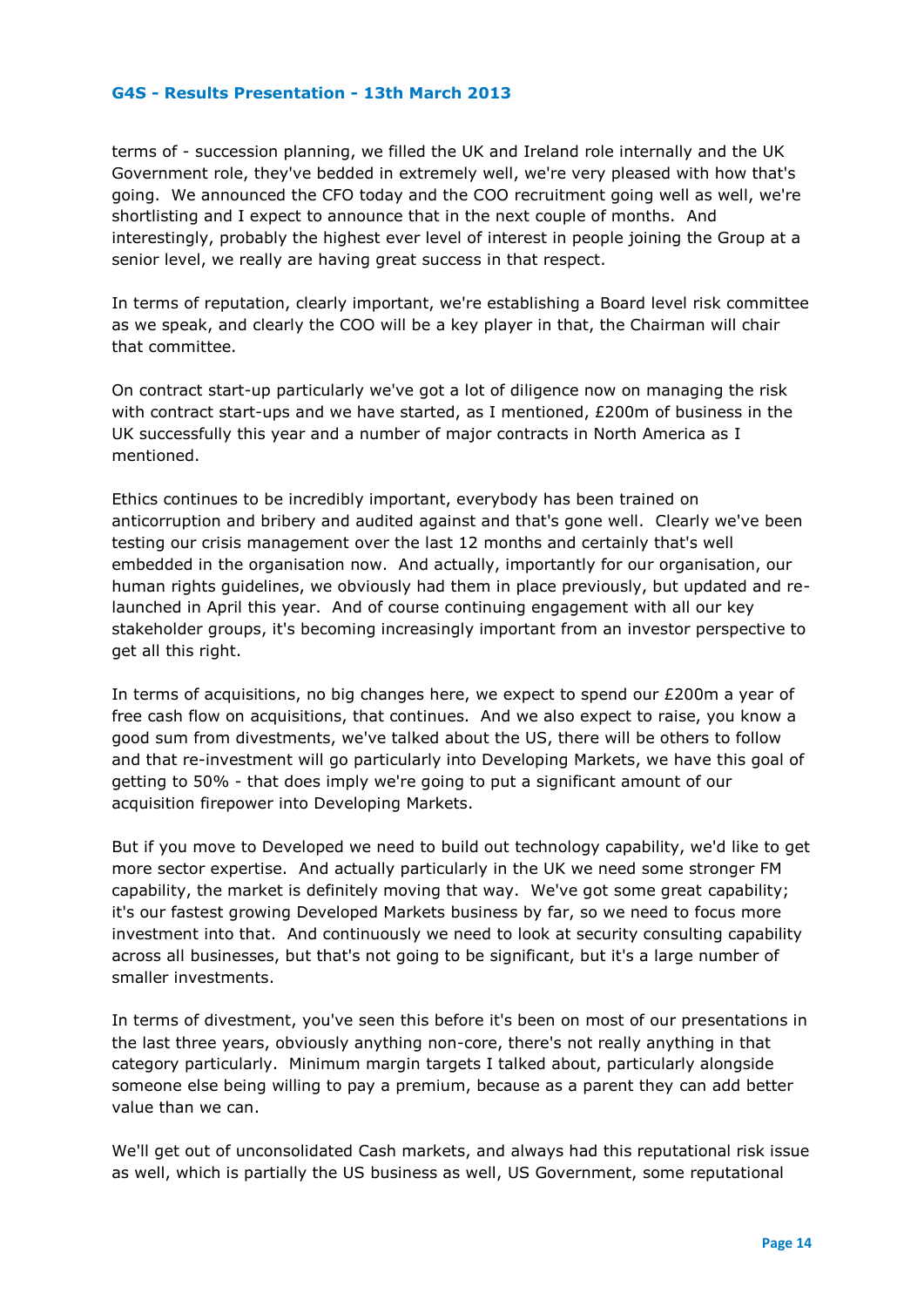terms of - succession planning, we filled the UK and Ireland role internally and the UK Government role, they've bedded in extremely well, we're very pleased with how that's going. We announced the CFO today and the COO recruitment going well as well, we're shortlisting and I expect to announce that in the next couple of months. And interestingly, probably the highest ever level of interest in people joining the Group at a senior level, we really are having great success in that respect.

In terms of reputation, clearly important, we're establishing a Board level risk committee as we speak, and clearly the COO will be a key player in that, the Chairman will chair that committee.

On contract start-up particularly we've got a lot of diligence now on managing the risk with contract start-ups and we have started, as I mentioned, £200m of business in the UK successfully this year and a number of major contracts in North America as I mentioned.

Ethics continues to be incredibly important, everybody has been trained on anticorruption and bribery and audited against and that's gone well. Clearly we've been testing our crisis management over the last 12 months and certainly that's well embedded in the organisation now. And actually, importantly for our organisation, our human rights guidelines, we obviously had them in place previously, but updated and relaunched in April this year. And of course continuing engagement with all our key stakeholder groups, it's becoming increasingly important from an investor perspective to get all this right.

In terms of acquisitions, no big changes here, we expect to spend our £200m a year of free cash flow on acquisitions, that continues. And we also expect to raise, you know a good sum from divestments, we've talked about the US, there will be others to follow and that re-investment will go particularly into Developing Markets, we have this goal of getting to 50% - that does imply we're going to put a significant amount of our acquisition firepower into Developing Markets.

But if you move to Developed we need to build out technology capability, we'd like to get more sector expertise. And actually particularly in the UK we need some stronger FM capability, the market is definitely moving that way. We've got some great capability; it's our fastest growing Developed Markets business by far, so we need to focus more investment into that. And continuously we need to look at security consulting capability across all businesses, but that's not going to be significant, but it's a large number of smaller investments.

In terms of divestment, you've seen this before it's been on most of our presentations in the last three years, obviously anything non-core, there's not really anything in that category particularly. Minimum margin targets I talked about, particularly alongside someone else being willing to pay a premium, because as a parent they can add better value than we can.

We'll get out of unconsolidated Cash markets, and always had this reputational risk issue as well, which is partially the US business as well, US Government, some reputational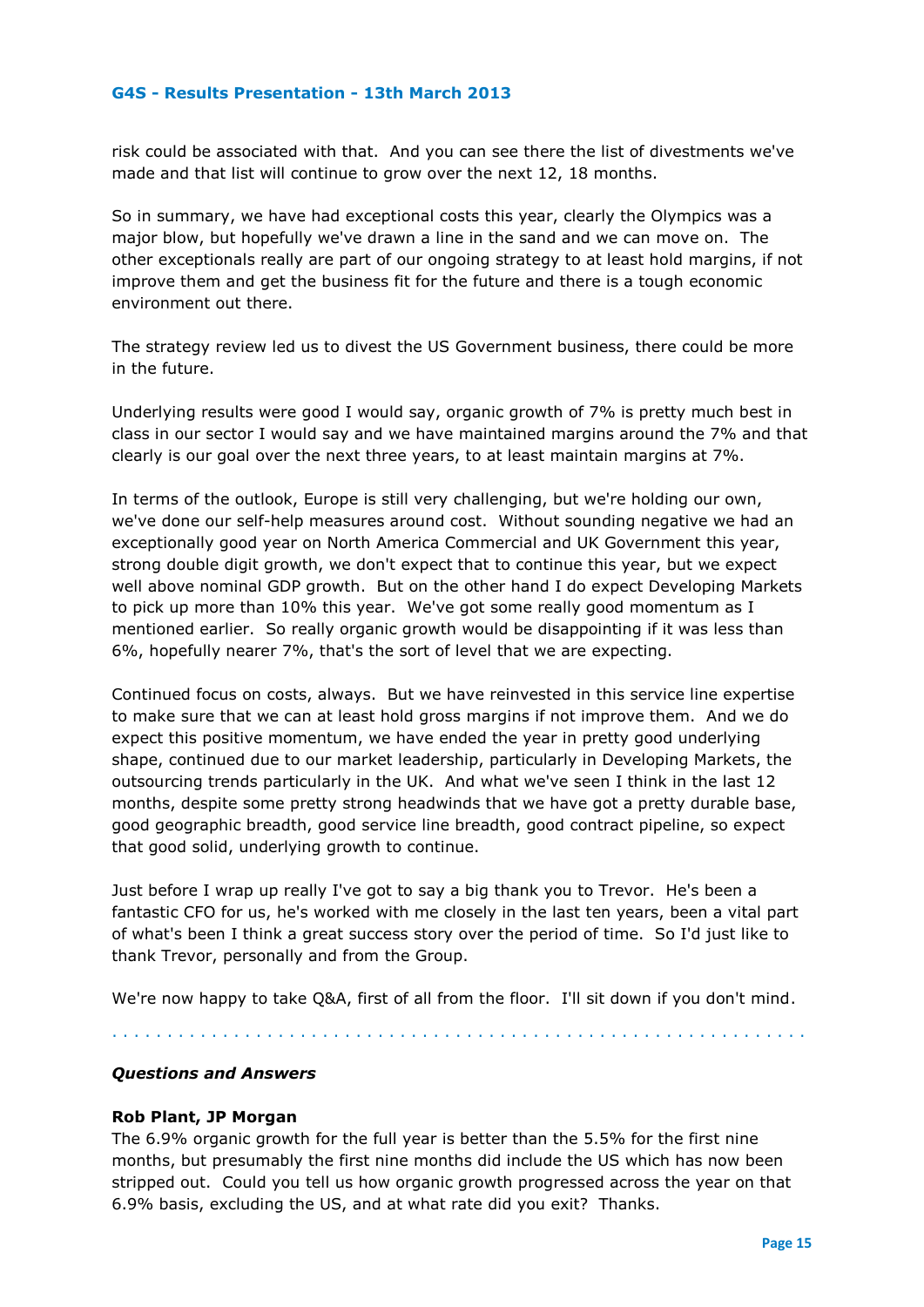risk could be associated with that. And you can see there the list of divestments we've made and that list will continue to grow over the next 12, 18 months.

So in summary, we have had exceptional costs this year, clearly the Olympics was a major blow, but hopefully we've drawn a line in the sand and we can move on. The other exceptionals really are part of our ongoing strategy to at least hold margins, if not improve them and get the business fit for the future and there is a tough economic environment out there.

The strategy review led us to divest the US Government business, there could be more in the future.

Underlying results were good I would say, organic growth of 7% is pretty much best in class in our sector I would say and we have maintained margins around the 7% and that clearly is our goal over the next three years, to at least maintain margins at 7%.

In terms of the outlook, Europe is still very challenging, but we're holding our own, we've done our self-help measures around cost. Without sounding negative we had an exceptionally good year on North America Commercial and UK Government this year, strong double digit growth, we don't expect that to continue this year, but we expect well above nominal GDP growth. But on the other hand I do expect Developing Markets to pick up more than 10% this year. We've got some really good momentum as I mentioned earlier. So really organic growth would be disappointing if it was less than 6%, hopefully nearer 7%, that's the sort of level that we are expecting.

Continued focus on costs, always. But we have reinvested in this service line expertise to make sure that we can at least hold gross margins if not improve them. And we do expect this positive momentum, we have ended the year in pretty good underlying shape, continued due to our market leadership, particularly in Developing Markets, the outsourcing trends particularly in the UK. And what we've seen I think in the last 12 months, despite some pretty strong headwinds that we have got a pretty durable base, good geographic breadth, good service line breadth, good contract pipeline, so expect that good solid, underlying growth to continue.

Just before I wrap up really I've got to say a big thank you to Trevor. He's been a fantastic CFO for us, he's worked with me closely in the last ten years, been a vital part of what's been I think a great success story over the period of time. So I'd just like to thank Trevor, personally and from the Group.

We're now happy to take Q&A, first of all from the floor. I'll sit down if you don't mind.

. . . . . . . . . . . . . . . . . . . . . . . . . . . . . . . . . . . . . . . . . . . . . . . . . . . . . . . . . . . . . . .

# *Questions and Answers*

#### **Rob Plant, JP Morgan**

The 6.9% organic growth for the full year is better than the 5.5% for the first nine months, but presumably the first nine months did include the US which has now been stripped out. Could you tell us how organic growth progressed across the year on that 6.9% basis, excluding the US, and at what rate did you exit? Thanks.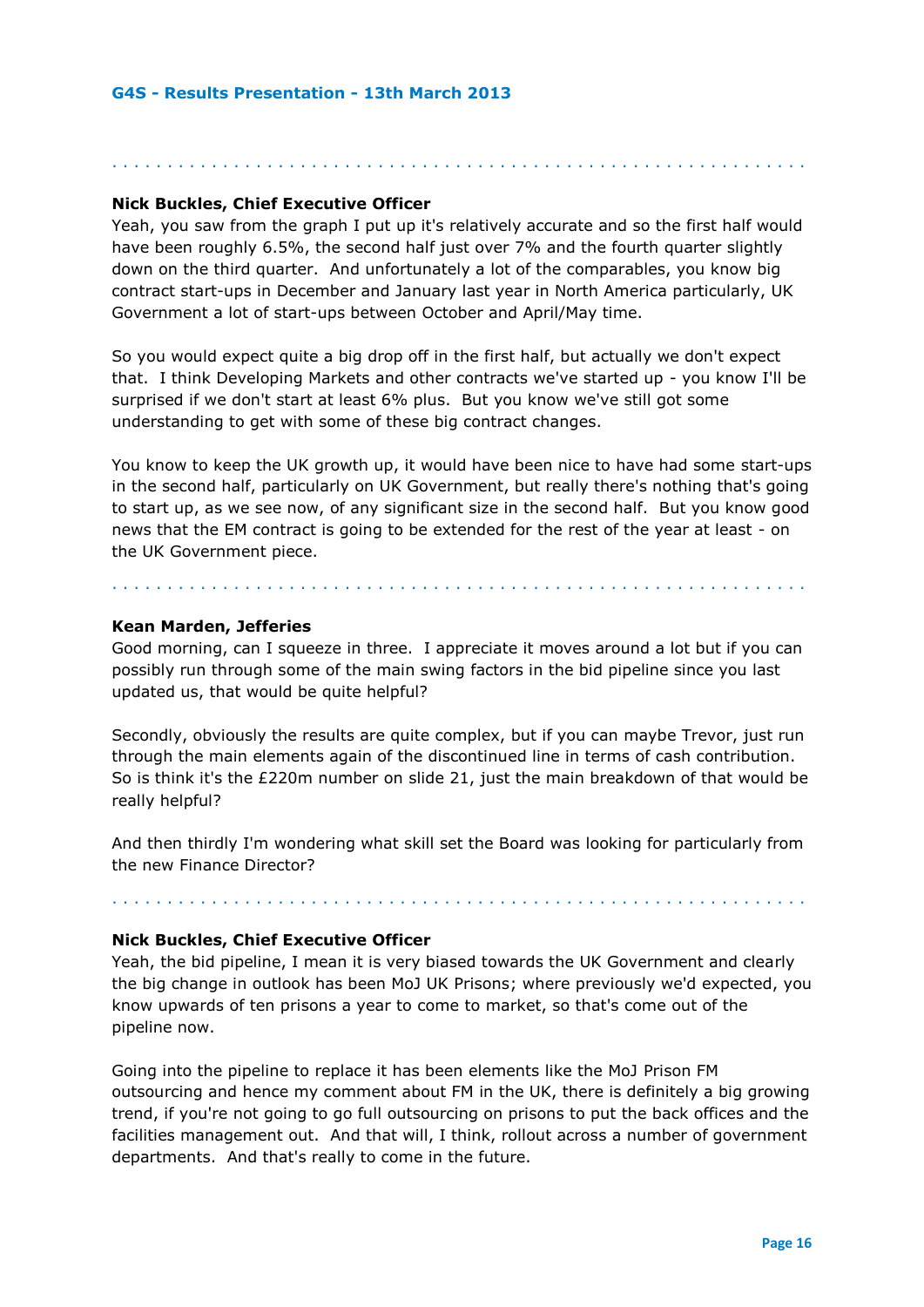# **Nick Buckles, Chief Executive Officer**

Yeah, you saw from the graph I put up it's relatively accurate and so the first half would have been roughly 6.5%, the second half just over 7% and the fourth quarter slightly down on the third quarter. And unfortunately a lot of the comparables, you know big contract start-ups in December and January last year in North America particularly, UK Government a lot of start-ups between October and April/May time.

. . . . . . . . . . . . . . . . . . . . . . . . . . . . . . . . . . . . . . . . . . . . . . . . . . . . . . . . . . . . . . .

So you would expect quite a big drop off in the first half, but actually we don't expect that. I think Developing Markets and other contracts we've started up - you know I'll be surprised if we don't start at least 6% plus. But you know we've still got some understanding to get with some of these big contract changes.

You know to keep the UK growth up, it would have been nice to have had some start-ups in the second half, particularly on UK Government, but really there's nothing that's going to start up, as we see now, of any significant size in the second half. But you know good news that the EM contract is going to be extended for the rest of the year at least - on the UK Government piece.

. . . . . . . . . . . . . . . . . . . . . . . . . . . . . . . . . . . . . . . . . . . . . . . . . . . . . . . . . . . . . . .

#### **Kean Marden, Jefferies**

Good morning, can I squeeze in three. I appreciate it moves around a lot but if you can possibly run through some of the main swing factors in the bid pipeline since you last updated us, that would be quite helpful?

Secondly, obviously the results are quite complex, but if you can maybe Trevor, just run through the main elements again of the discontinued line in terms of cash contribution. So is think it's the £220m number on slide 21, just the main breakdown of that would be really helpful?

And then thirdly I'm wondering what skill set the Board was looking for particularly from the new Finance Director?

. . . . . . . . . . . . . . . . . . . . . . . . . . . . . . . . . . . . . . . . . . . . . . . . . . . . . . . . . . . . . . .

#### **Nick Buckles, Chief Executive Officer**

Yeah, the bid pipeline, I mean it is very biased towards the UK Government and clearly the big change in outlook has been MoJ UK Prisons; where previously we'd expected, you know upwards of ten prisons a year to come to market, so that's come out of the pipeline now.

Going into the pipeline to replace it has been elements like the MoJ Prison FM outsourcing and hence my comment about FM in the UK, there is definitely a big growing trend, if you're not going to go full outsourcing on prisons to put the back offices and the facilities management out. And that will, I think, rollout across a number of government departments. And that's really to come in the future.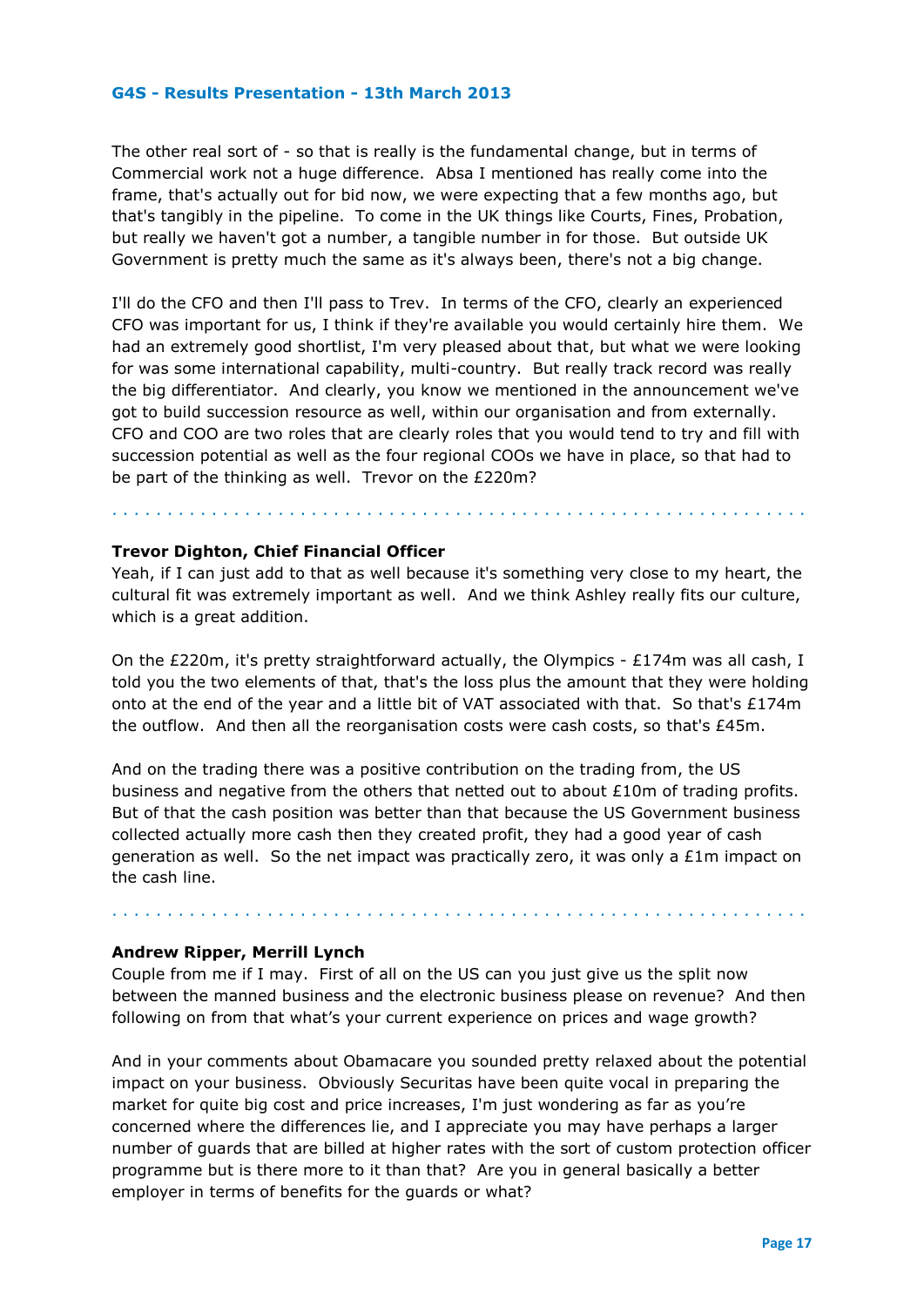The other real sort of - so that is really is the fundamental change, but in terms of Commercial work not a huge difference. Absa I mentioned has really come into the frame, that's actually out for bid now, we were expecting that a few months ago, but that's tangibly in the pipeline. To come in the UK things like Courts, Fines, Probation, but really we haven't got a number, a tangible number in for those. But outside UK Government is pretty much the same as it's always been, there's not a big change.

I'll do the CFO and then I'll pass to Trev. In terms of the CFO, clearly an experienced CFO was important for us, I think if they're available you would certainly hire them. We had an extremely good shortlist, I'm very pleased about that, but what we were looking for was some international capability, multi-country. But really track record was really the big differentiator. And clearly, you know we mentioned in the announcement we've got to build succession resource as well, within our organisation and from externally. CFO and COO are two roles that are clearly roles that you would tend to try and fill with succession potential as well as the four regional COOs we have in place, so that had to be part of the thinking as well. Trevor on the £220m?

#### **Trevor Dighton, Chief Financial Officer**

Yeah, if I can just add to that as well because it's something very close to my heart, the cultural fit was extremely important as well. And we think Ashley really fits our culture, which is a great addition.

. . . . . . . . . . . . . . . . . . . . . . . . . . . . . . . . . . . . . . . . . . . . . . . . . . . . . . . . . . . . . . .

On the £220m, it's pretty straightforward actually, the Olympics - £174m was all cash, I told you the two elements of that, that's the loss plus the amount that they were holding onto at the end of the year and a little bit of VAT associated with that. So that's £174m the outflow. And then all the reorganisation costs were cash costs, so that's £45m.

And on the trading there was a positive contribution on the trading from, the US business and negative from the others that netted out to about £10m of trading profits. But of that the cash position was better than that because the US Government business collected actually more cash then they created profit, they had a good year of cash generation as well. So the net impact was practically zero, it was only a £1m impact on the cash line.

#### **Andrew Ripper, Merrill Lynch**

Couple from me if I may. First of all on the US can you just give us the split now between the manned business and the electronic business please on revenue? And then following on from that what's your current experience on prices and wage growth?

. . . . . . . . . . . . . . . . . . . . . . . . . . . . . . . . . . . . . . . . . . . . . . . . . . . . . . . . . . . . . . .

And in your comments about Obamacare you sounded pretty relaxed about the potential impact on your business. Obviously Securitas have been quite vocal in preparing the market for quite big cost and price increases, I'm just wondering as far as you're concerned where the differences lie, and I appreciate you may have perhaps a larger number of guards that are billed at higher rates with the sort of custom protection officer programme but is there more to it than that? Are you in general basically a better employer in terms of benefits for the guards or what?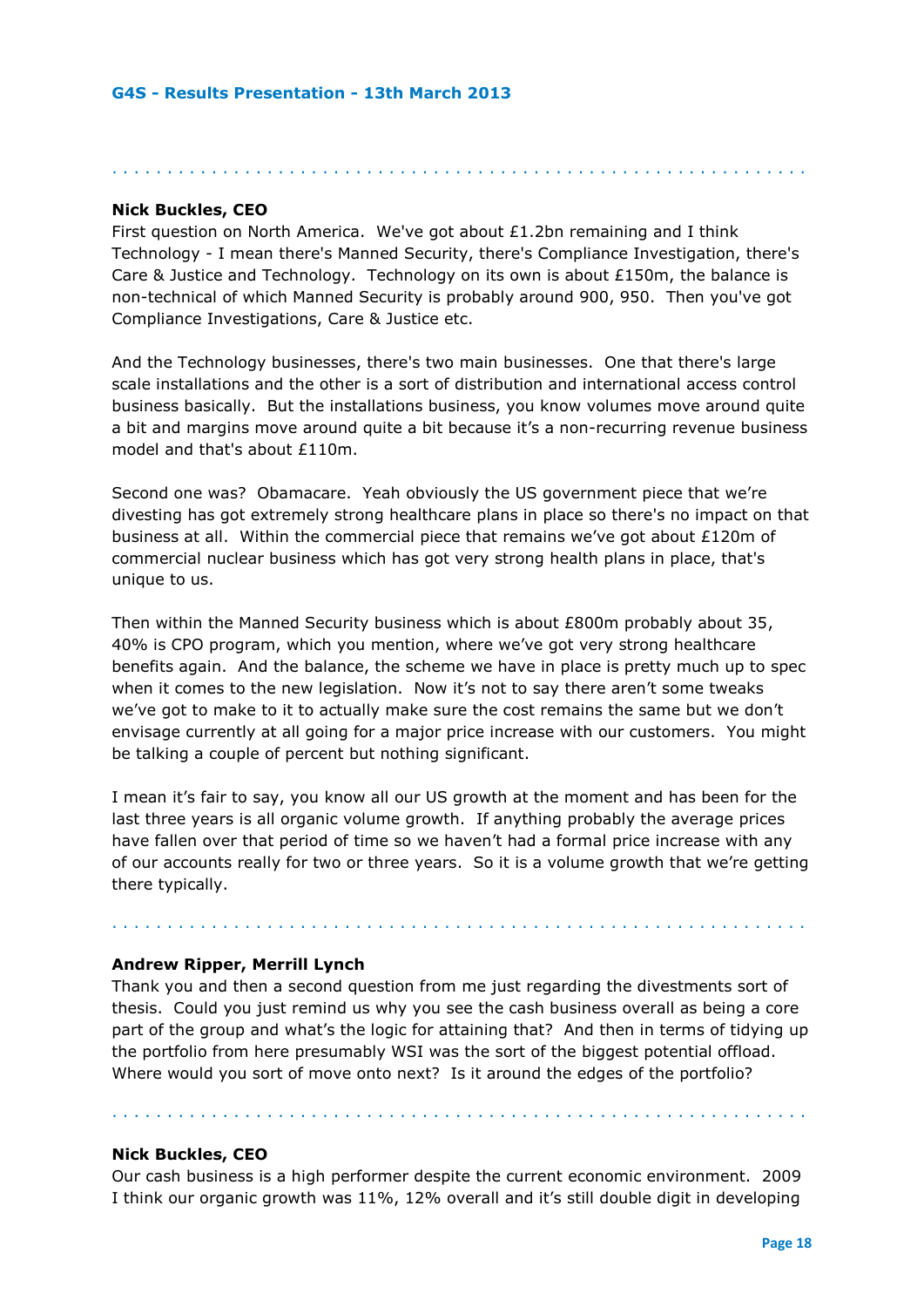# **Nick Buckles, CEO**

First question on North America. We've got about £1.2bn remaining and I think Technology - I mean there's Manned Security, there's Compliance Investigation, there's Care & Justice and Technology. Technology on its own is about £150m, the balance is non-technical of which Manned Security is probably around 900, 950. Then you've got Compliance Investigations, Care & Justice etc.

. . . . . . . . . . . . . . . . . . . . . . . . . . . . . . . . . . . . . . . . . . . . . . . . . . . . . . . . . . . . . . .

And the Technology businesses, there's two main businesses. One that there's large scale installations and the other is a sort of distribution and international access control business basically. But the installations business, you know volumes move around quite a bit and margins move around quite a bit because it's a non-recurring revenue business model and that's about £110m.

Second one was? Obamacare. Yeah obviously the US government piece that we're divesting has got extremely strong healthcare plans in place so there's no impact on that business at all. Within the commercial piece that remains we've got about £120m of commercial nuclear business which has got very strong health plans in place, that's unique to us.

Then within the Manned Security business which is about £800m probably about 35, 40% is CPO program, which you mention, where we've got very strong healthcare benefits again. And the balance, the scheme we have in place is pretty much up to spec when it comes to the new legislation. Now it's not to say there aren't some tweaks we've got to make to it to actually make sure the cost remains the same but we don't envisage currently at all going for a major price increase with our customers. You might be talking a couple of percent but nothing significant.

I mean it's fair to say, you know all our US growth at the moment and has been for the last three years is all organic volume growth. If anything probably the average prices have fallen over that period of time so we haven't had a formal price increase with any of our accounts really for two or three years. So it is a volume growth that we're getting there typically.

. . . . . . . . . . . . . . . . . . . . . . . . . . . . . . . . . . . . . . . . . . . . . . . . . . . . . . . . . . . . . . .

#### **Andrew Ripper, Merrill Lynch**

Thank you and then a second question from me just regarding the divestments sort of thesis. Could you just remind us why you see the cash business overall as being a core part of the group and what's the logic for attaining that? And then in terms of tidying up the portfolio from here presumably WSI was the sort of the biggest potential offload. Where would you sort of move onto next? Is it around the edges of the portfolio?

. . . . . . . . . . . . . . . . . . . . . . . . . . . . . . . . . . . . . . . . . . . . . . . . . . . . . . . . . . . . . . .

#### **Nick Buckles, CEO**

Our cash business is a high performer despite the current economic environment. 2009 I think our organic growth was 11%, 12% overall and it's still double digit in developing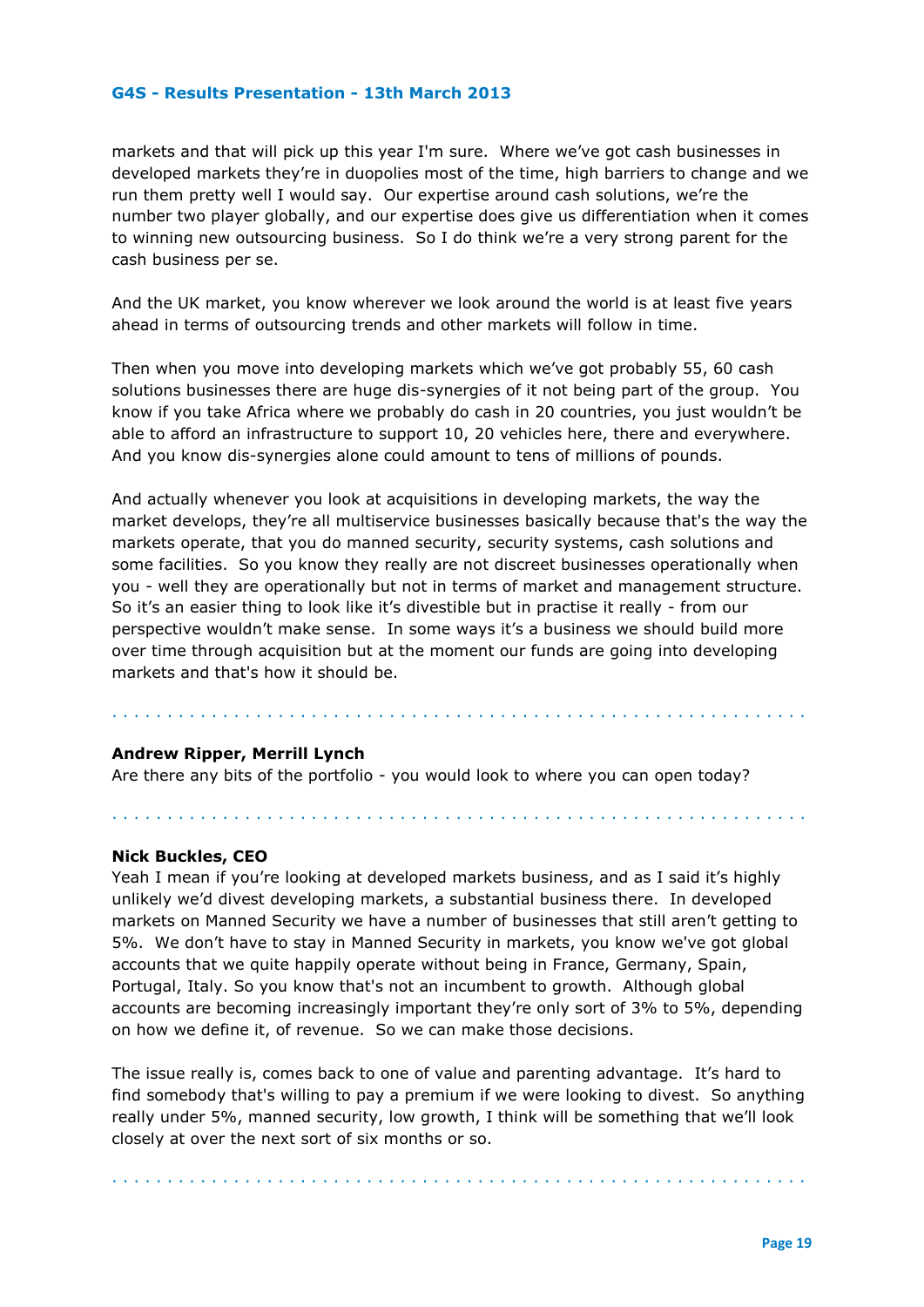markets and that will pick up this year I'm sure. Where we've got cash businesses in developed markets they're in duopolies most of the time, high barriers to change and we run them pretty well I would say. Our expertise around cash solutions, we're the number two player globally, and our expertise does give us differentiation when it comes to winning new outsourcing business. So I do think we're a very strong parent for the cash business per se.

And the UK market, you know wherever we look around the world is at least five years ahead in terms of outsourcing trends and other markets will follow in time.

Then when you move into developing markets which we've got probably 55, 60 cash solutions businesses there are huge dis-synergies of it not being part of the group. You know if you take Africa where we probably do cash in 20 countries, you just wouldn't be able to afford an infrastructure to support 10, 20 vehicles here, there and everywhere. And you know dis-synergies alone could amount to tens of millions of pounds.

And actually whenever you look at acquisitions in developing markets, the way the market develops, they're all multiservice businesses basically because that's the way the markets operate, that you do manned security, security systems, cash solutions and some facilities. So you know they really are not discreet businesses operationally when you - well they are operationally but not in terms of market and management structure. So it's an easier thing to look like it's divestible but in practise it really - from our perspective wouldn't make sense. In some ways it's a business we should build more over time through acquisition but at the moment our funds are going into developing markets and that's how it should be.

. . . . . . . . . . . . . . . . . . . . . . . . . . . . . . . . . . . . . . . . . . . . . . . . . . . . . . . . . . . . . . .

. . . . . . . . . . . . . . . . . . . . . . . . . . . . . . . . . . . . . . . . . . . . . . . . . . . . . . . . . . . . . . .

#### **Andrew Ripper, Merrill Lynch**

Are there any bits of the portfolio - you would look to where you can open today?

#### **Nick Buckles, CEO**

Yeah I mean if you're looking at developed markets business, and as I said it's highly unlikely we'd divest developing markets, a substantial business there. In developed markets on Manned Security we have a number of businesses that still aren't getting to 5%. We don't have to stay in Manned Security in markets, you know we've got global accounts that we quite happily operate without being in France, Germany, Spain, Portugal, Italy. So you know that's not an incumbent to growth. Although global accounts are becoming increasingly important they're only sort of 3% to 5%, depending on how we define it, of revenue. So we can make those decisions.

The issue really is, comes back to one of value and parenting advantage. It's hard to find somebody that's willing to pay a premium if we were looking to divest. So anything really under 5%, manned security, low growth, I think will be something that we'll look closely at over the next sort of six months or so.

. . . . . . . . . . . . . . . . . . . . . . . . . . . . . . . . . . . . . . . . . . . . . . . . . . . . . . . . . . . . . . .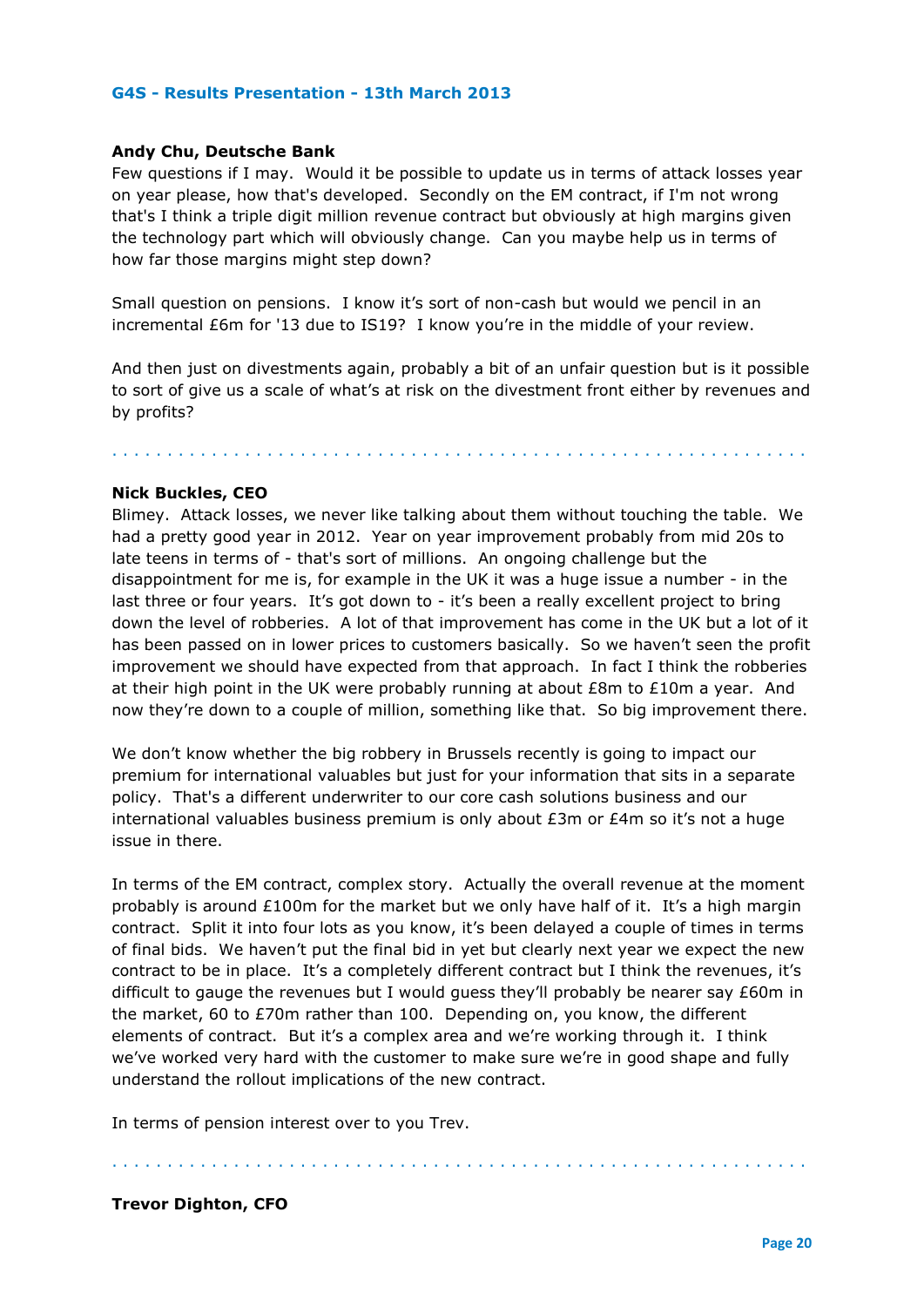#### **Andy Chu, Deutsche Bank**

Few questions if I may. Would it be possible to update us in terms of attack losses year on year please, how that's developed. Secondly on the EM contract, if I'm not wrong that's I think a triple digit million revenue contract but obviously at high margins given the technology part which will obviously change. Can you maybe help us in terms of how far those margins might step down?

Small question on pensions. I know it's sort of non-cash but would we pencil in an incremental £6m for '13 due to IS19? I know you're in the middle of your review.

And then just on divestments again, probably a bit of an unfair question but is it possible to sort of give us a scale of what's at risk on the divestment front either by revenues and by profits?

. . . . . . . . . . . . . . . . . . . . . . . . . . . . . . . . . . . . . . . . . . . . . . . . . . . . . . . . . . . . . . .

#### **Nick Buckles, CEO**

Blimey. Attack losses, we never like talking about them without touching the table. We had a pretty good year in 2012. Year on year improvement probably from mid 20s to late teens in terms of - that's sort of millions. An ongoing challenge but the disappointment for me is, for example in the UK it was a huge issue a number - in the last three or four years. It's got down to - it's been a really excellent project to bring down the level of robberies. A lot of that improvement has come in the UK but a lot of it has been passed on in lower prices to customers basically. So we haven't seen the profit improvement we should have expected from that approach. In fact I think the robberies at their high point in the UK were probably running at about  $E8m$  to  $E10m$  a year. And now they're down to a couple of million, something like that. So big improvement there.

We don't know whether the big robbery in Brussels recently is going to impact our premium for international valuables but just for your information that sits in a separate policy. That's a different underwriter to our core cash solutions business and our international valuables business premium is only about £3m or £4m so it's not a huge issue in there.

In terms of the EM contract, complex story. Actually the overall revenue at the moment probably is around £100m for the market but we only have half of it. It's a high margin contract. Split it into four lots as you know, it's been delayed a couple of times in terms of final bids. We haven't put the final bid in yet but clearly next year we expect the new contract to be in place. It's a completely different contract but I think the revenues, it's difficult to gauge the revenues but I would guess they'll probably be nearer say £60m in the market, 60 to £70m rather than 100. Depending on, you know, the different elements of contract. But it's a complex area and we're working through it. I think we've worked very hard with the customer to make sure we're in good shape and fully understand the rollout implications of the new contract.

In terms of pension interest over to you Trev.

# **Trevor Dighton, CFO**

. . . . . . . . . . . . . . . . . . . . . . . . . . . . . . . . . . . . . . . . . . . . . . . . . . . . . . . . . . . . . . .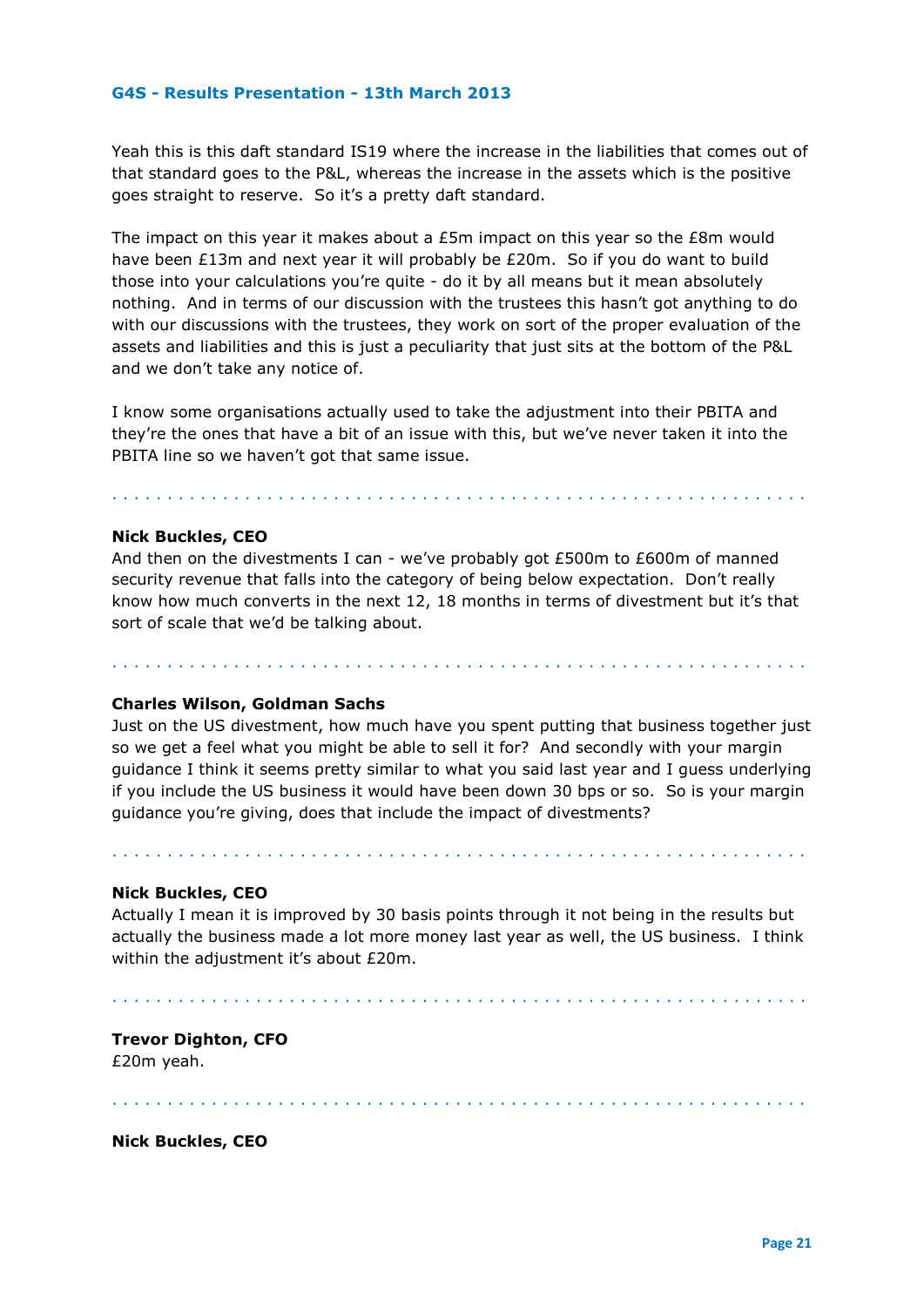Yeah this is this daft standard IS19 where the increase in the liabilities that comes out of that standard goes to the P&L, whereas the increase in the assets which is the positive goes straight to reserve. So it's a pretty daft standard.

The impact on this year it makes about a £5m impact on this year so the £8m would have been £13m and next year it will probably be £20m. So if you do want to build those into your calculations you're quite - do it by all means but it mean absolutely nothing. And in terms of our discussion with the trustees this hasn't got anything to do with our discussions with the trustees, they work on sort of the proper evaluation of the assets and liabilities and this is just a peculiarity that just sits at the bottom of the P&L and we don't take any notice of.

I know some organisations actually used to take the adjustment into their PBITA and they're the ones that have a bit of an issue with this, but we've never taken it into the PBITA line so we haven't got that same issue.

#### **Nick Buckles, CEO**

And then on the divestments I can - we've probably got £500m to £600m of manned security revenue that falls into the category of being below expectation. Don't really know how much converts in the next 12, 18 months in terms of divestment but it's that sort of scale that we'd be talking about.

. . . . . . . . . . . . . . . . . . . . . . . . . . . . . . . . . . . . . . . . . . . . . . . . . . . . . . . . . . . . . . .

. . . . . . . . . . . . . . . . . . . . . . . . . . . . . . . . . . . . . . . . . . . . . . . . . . . . . . . . . . . . . . .

# **Charles Wilson, Goldman Sachs**

Just on the US divestment, how much have you spent putting that business together just so we get a feel what you might be able to sell it for? And secondly with your margin guidance I think it seems pretty similar to what you said last year and I guess underlying if you include the US business it would have been down 30 bps or so. So is your margin guidance you're giving, does that include the impact of divestments?

#### **Nick Buckles, CEO**

Actually I mean it is improved by 30 basis points through it not being in the results but actually the business made a lot more money last year as well, the US business. I think within the adjustment it's about £20m.

. . . . . . . . . . . . . . . . . . . . . . . . . . . . . . . . . . . . . . . . . . . . . . . . . . . . . . . . . . . . . . .

. . . . . . . . . . . . . . . . . . . . . . . . . . . . . . . . . . . . . . . . . . . . . . . . . . . . . . . . . . . . . . .

# **Trevor Dighton, CFO** £20m yeah.

. . . . . . . . . . . . . . . . . . . . . . . . . . . . . . . . . . . . . . . . . . . . . . . . . . . . . . . . . . . . . . .

#### **Nick Buckles, CEO**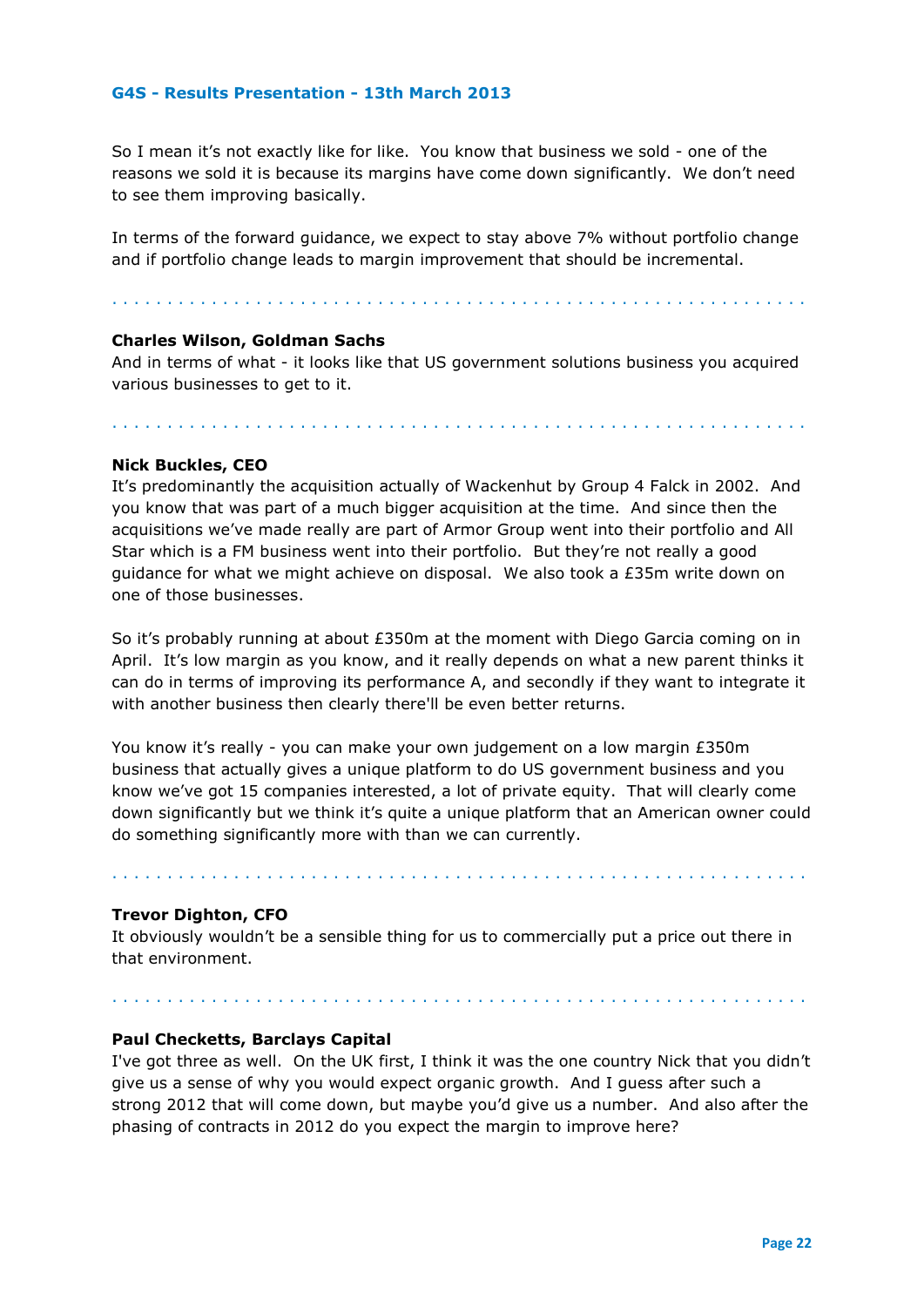So I mean it's not exactly like for like. You know that business we sold - one of the reasons we sold it is because its margins have come down significantly. We don't need to see them improving basically.

In terms of the forward guidance, we expect to stay above 7% without portfolio change and if portfolio change leads to margin improvement that should be incremental.

. . . . . . . . . . . . . . . . . . . . . . . . . . . . . . . . . . . . . . . . . . . . . . . . . . . . . . . . . . . . . . .

# **Charles Wilson, Goldman Sachs**

And in terms of what - it looks like that US government solutions business you acquired various businesses to get to it.

. . . . . . . . . . . . . . . . . . . . . . . . . . . . . . . . . . . . . . . . . . . . . . . . . . . . . . . . . . . . . . .

# **Nick Buckles, CEO**

It's predominantly the acquisition actually of Wackenhut by Group 4 Falck in 2002. And you know that was part of a much bigger acquisition at the time. And since then the acquisitions we've made really are part of Armor Group went into their portfolio and All Star which is a FM business went into their portfolio. But they're not really a good guidance for what we might achieve on disposal. We also took a £35m write down on one of those businesses.

So it's probably running at about £350m at the moment with Diego Garcia coming on in April. It's low margin as you know, and it really depends on what a new parent thinks it can do in terms of improving its performance A, and secondly if they want to integrate it with another business then clearly there'll be even better returns.

You know it's really - you can make your own judgement on a low margin £350m business that actually gives a unique platform to do US government business and you know we've got 15 companies interested, a lot of private equity. That will clearly come down significantly but we think it's quite a unique platform that an American owner could do something significantly more with than we can currently.

# **Trevor Dighton, CFO**

It obviously wouldn't be a sensible thing for us to commercially put a price out there in that environment.

. . . . . . . . . . . . . . . . . . . . . . . . . . . . . . . . . . . . . . . . . . . . . . . . . . . . . . . . . . . . . . .

#### . . . . . . . . . . . . . . . . . . . . . . . . . . . . . . . . . . . . . . . . . . . . . . . . . . . . . . . . . . . . . . .

# **Paul Checketts, Barclays Capital**

I've got three as well. On the UK first, I think it was the one country Nick that you didn't give us a sense of why you would expect organic growth. And I guess after such a strong 2012 that will come down, but maybe you'd give us a number. And also after the phasing of contracts in 2012 do you expect the margin to improve here?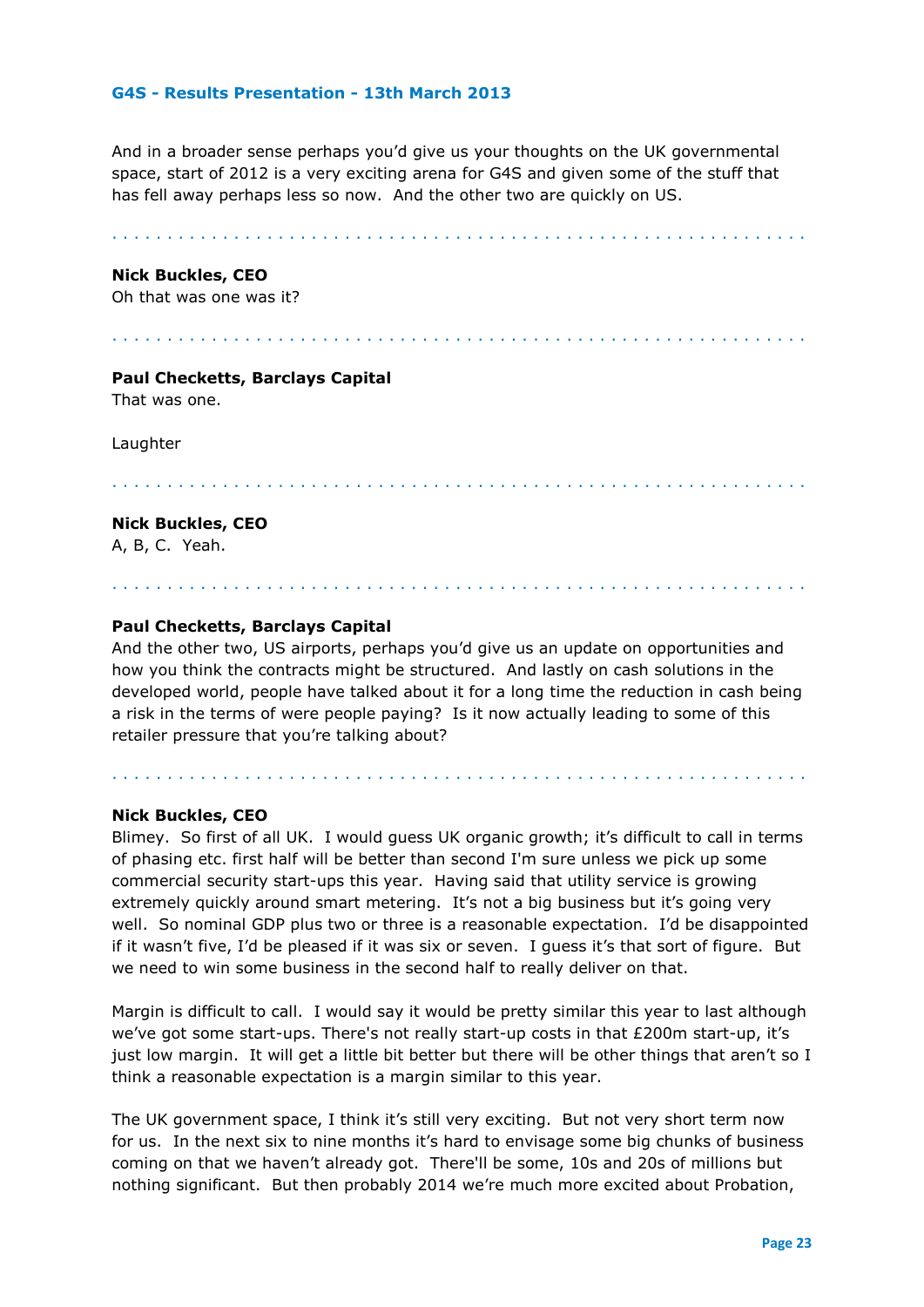And in a broader sense perhaps you'd give us your thoughts on the UK governmental space, start of 2012 is a very exciting arena for G4S and given some of the stuff that has fell away perhaps less so now. And the other two are quickly on US.

. . . . . . . . . . . . . . . . . . . . . . . . . . . . . . . . . . . . . . . . . . . . . . . . . . . . . . . . . . . . . . .

#### **Nick Buckles, CEO**

Oh that was one was it?

. . . . . . . . . . . . . . . . . . . . . . . . . . . . . . . . . . . . . . . . . . . . . . . . . . . . . . . . . . . . . . .

# **Paul Checketts, Barclays Capital**

That was one.

Laughter

. . . . . . . . . . . . . . . . . . . . . . . . . . . . . . . . . . . . . . . . . . . . . . . . . . . . . . . . . . . . . . .

#### **Nick Buckles, CEO**

A, B, C. Yeah.

# **Paul Checketts, Barclays Capital**

And the other two, US airports, perhaps you'd give us an update on opportunities and how you think the contracts might be structured. And lastly on cash solutions in the developed world, people have talked about it for a long time the reduction in cash being a risk in the terms of were people paying? Is it now actually leading to some of this retailer pressure that you're talking about?

. . . . . . . . . . . . . . . . . . . . . . . . . . . . . . . . . . . . . . . . . . . . . . . . . . . . . . . . . . . . . . .

. . . . . . . . . . . . . . . . . . . . . . . . . . . . . . . . . . . . . . . . . . . . . . . . . . . . . . . . . . . . . . .

#### **Nick Buckles, CEO**

Blimey. So first of all UK. I would guess UK organic growth; it's difficult to call in terms of phasing etc. first half will be better than second I'm sure unless we pick up some commercial security start-ups this year. Having said that utility service is growing extremely quickly around smart metering. It's not a big business but it's going very well. So nominal GDP plus two or three is a reasonable expectation. I'd be disappointed if it wasn't five, I'd be pleased if it was six or seven. I guess it's that sort of figure. But we need to win some business in the second half to really deliver on that.

Margin is difficult to call. I would say it would be pretty similar this year to last although we've got some start-ups. There's not really start-up costs in that £200m start-up, it's just low margin. It will get a little bit better but there will be other things that aren't so I think a reasonable expectation is a margin similar to this year.

The UK government space, I think it's still very exciting. But not very short term now for us. In the next six to nine months it's hard to envisage some big chunks of business coming on that we haven't already got. There'll be some, 10s and 20s of millions but nothing significant. But then probably 2014 we're much more excited about Probation,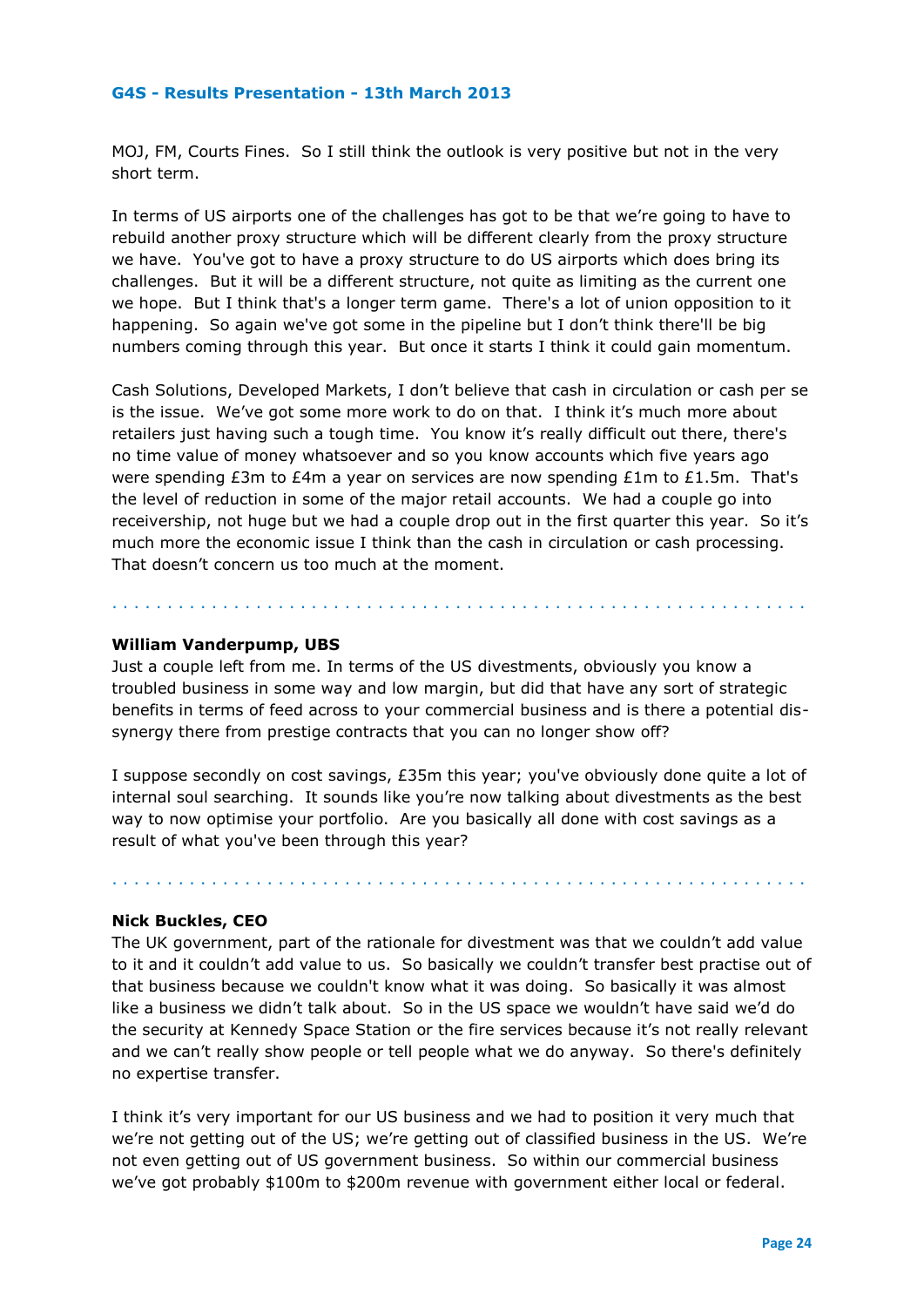MOJ, FM, Courts Fines. So I still think the outlook is very positive but not in the very short term.

In terms of US airports one of the challenges has got to be that we're going to have to rebuild another proxy structure which will be different clearly from the proxy structure we have. You've got to have a proxy structure to do US airports which does bring its challenges. But it will be a different structure, not quite as limiting as the current one we hope. But I think that's a longer term game. There's a lot of union opposition to it happening. So again we've got some in the pipeline but I don't think there'll be big numbers coming through this year. But once it starts I think it could gain momentum.

Cash Solutions, Developed Markets, I don't believe that cash in circulation or cash per se is the issue. We've got some more work to do on that. I think it's much more about retailers just having such a tough time. You know it's really difficult out there, there's no time value of money whatsoever and so you know accounts which five years ago were spending £3m to £4m a year on services are now spending £1m to £1.5m. That's the level of reduction in some of the major retail accounts. We had a couple go into receivership, not huge but we had a couple drop out in the first quarter this year. So it's much more the economic issue I think than the cash in circulation or cash processing. That doesn't concern us too much at the moment.

# **William Vanderpump, UBS**

Just a couple left from me. In terms of the US divestments, obviously you know a troubled business in some way and low margin, but did that have any sort of strategic benefits in terms of feed across to your commercial business and is there a potential dissynergy there from prestige contracts that you can no longer show off?

. . . . . . . . . . . . . . . . . . . . . . . . . . . . . . . . . . . . . . . . . . . . . . . . . . . . . . . . . . . . . . .

I suppose secondly on cost savings, £35m this year; you've obviously done quite a lot of internal soul searching. It sounds like you're now talking about divestments as the best way to now optimise your portfolio. Are you basically all done with cost savings as a result of what you've been through this year?

# **Nick Buckles, CEO**

. . . . . . . . . . . . . . . . . . . . . . . . . . . . . . . . . . . . . . . . . . . . . . . . . . . . . . . . . . . . . . .

The UK government, part of the rationale for divestment was that we couldn't add value to it and it couldn't add value to us. So basically we couldn't transfer best practise out of that business because we couldn't know what it was doing. So basically it was almost like a business we didn't talk about. So in the US space we wouldn't have said we'd do the security at Kennedy Space Station or the fire services because it's not really relevant and we can't really show people or tell people what we do anyway. So there's definitely no expertise transfer.

I think it's very important for our US business and we had to position it very much that we're not getting out of the US; we're getting out of classified business in the US. We're not even getting out of US government business. So within our commercial business we've got probably \$100m to \$200m revenue with government either local or federal.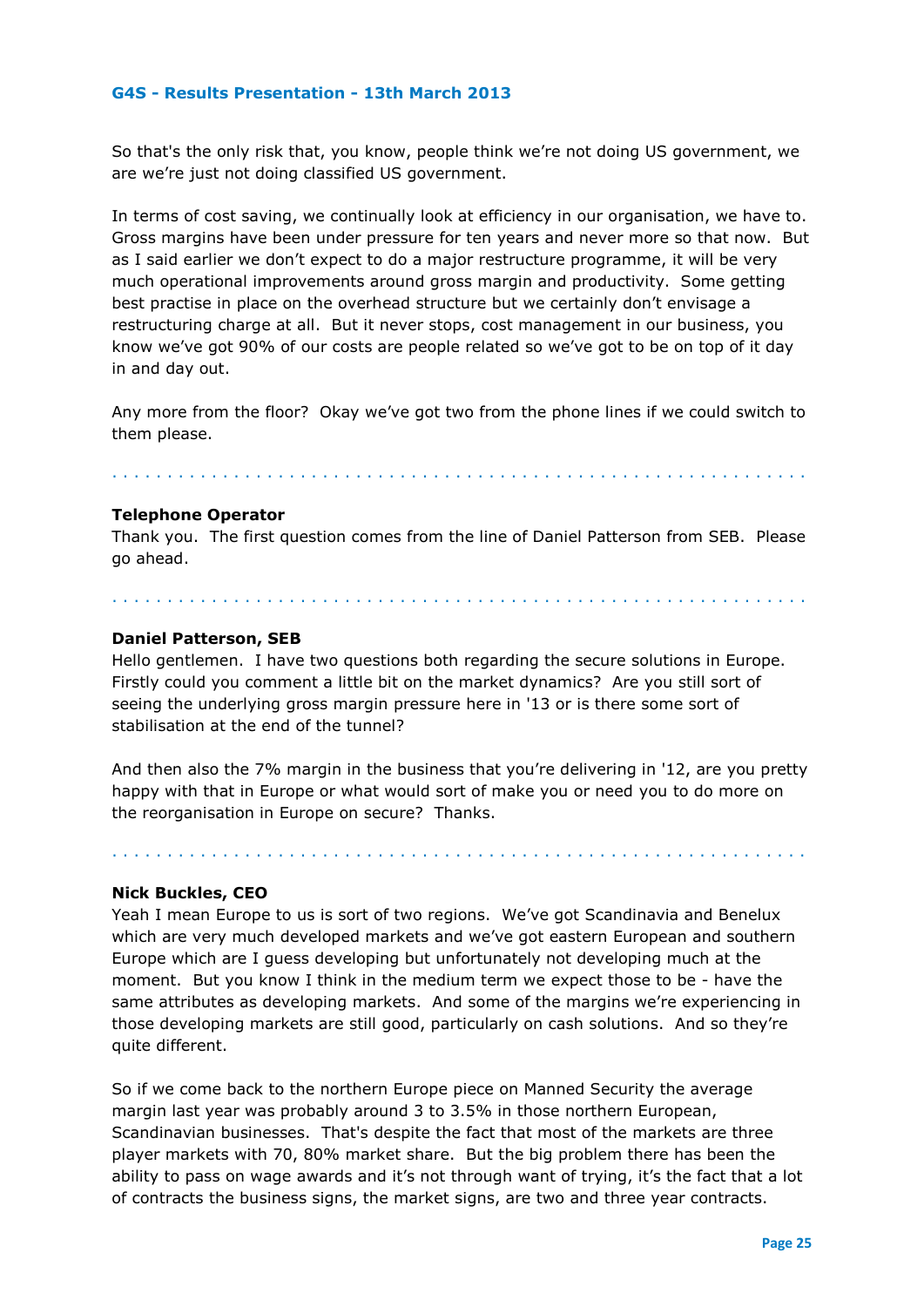So that's the only risk that, you know, people think we're not doing US government, we are we're just not doing classified US government.

In terms of cost saving, we continually look at efficiency in our organisation, we have to. Gross margins have been under pressure for ten years and never more so that now. But as I said earlier we don't expect to do a major restructure programme, it will be very much operational improvements around gross margin and productivity. Some getting best practise in place on the overhead structure but we certainly don't envisage a restructuring charge at all. But it never stops, cost management in our business, you know we've got 90% of our costs are people related so we've got to be on top of it day in and day out.

Any more from the floor? Okay we've got two from the phone lines if we could switch to them please.

#### . . . . . . . . . . . . . . . . . . . . . . . . . . . . . . . . . . . . . . . . . . . . . . . . . . . . . . . . . . . . . . .

. . . . . . . . . . . . . . . . . . . . . . . . . . . . . . . . . . . . . . . . . . . . . . . . . . . . . . . . . . . . . . .

#### **Telephone Operator**

Thank you. The first question comes from the line of Daniel Patterson from SEB. Please go ahead.

#### **Daniel Patterson, SEB**

Hello gentlemen. I have two questions both regarding the secure solutions in Europe. Firstly could you comment a little bit on the market dynamics? Are you still sort of seeing the underlying gross margin pressure here in '13 or is there some sort of stabilisation at the end of the tunnel?

And then also the 7% margin in the business that you're delivering in '12, are you pretty happy with that in Europe or what would sort of make you or need you to do more on the reorganisation in Europe on secure? Thanks.

. . . . . . . . . . . . . . . . . . . . . . . . . . . . . . . . . . . . . . . . . . . . . . . . . . . . . . . . . . . . . . .

#### **Nick Buckles, CEO**

Yeah I mean Europe to us is sort of two regions. We've got Scandinavia and Benelux which are very much developed markets and we've got eastern European and southern Europe which are I guess developing but unfortunately not developing much at the moment. But you know I think in the medium term we expect those to be - have the same attributes as developing markets. And some of the margins we're experiencing in those developing markets are still good, particularly on cash solutions. And so they're quite different.

So if we come back to the northern Europe piece on Manned Security the average margin last year was probably around 3 to 3.5% in those northern European, Scandinavian businesses. That's despite the fact that most of the markets are three player markets with 70, 80% market share. But the big problem there has been the ability to pass on wage awards and it's not through want of trying, it's the fact that a lot of contracts the business signs, the market signs, are two and three year contracts.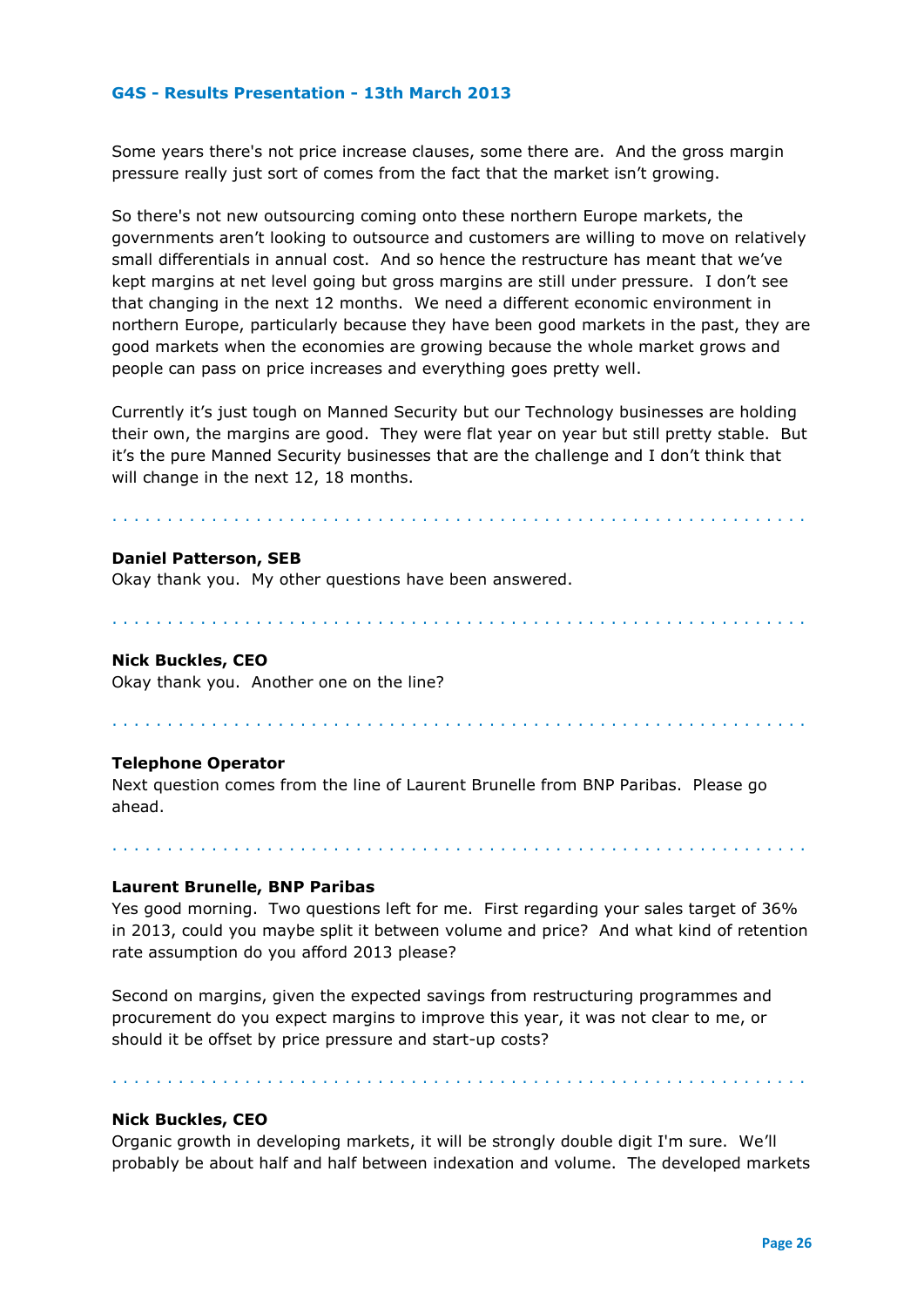Some years there's not price increase clauses, some there are. And the gross margin pressure really just sort of comes from the fact that the market isn't growing.

So there's not new outsourcing coming onto these northern Europe markets, the governments aren't looking to outsource and customers are willing to move on relatively small differentials in annual cost. And so hence the restructure has meant that we've kept margins at net level going but gross margins are still under pressure. I don't see that changing in the next 12 months. We need a different economic environment in northern Europe, particularly because they have been good markets in the past, they are good markets when the economies are growing because the whole market grows and people can pass on price increases and everything goes pretty well.

Currently it's just tough on Manned Security but our Technology businesses are holding their own, the margins are good. They were flat year on year but still pretty stable. But it's the pure Manned Security businesses that are the challenge and I don't think that will change in the next 12, 18 months.

. . . . . . . . . . . . . . . . . . . . . . . . . . . . . . . . . . . . . . . . . . . . . . . . . . . . . . . . . . . . . . .

. . . . . . . . . . . . . . . . . . . . . . . . . . . . . . . . . . . . . . . . . . . . . . . . . . . . . . . . . . . . . . .

. . . . . . . . . . . . . . . . . . . . . . . . . . . . . . . . . . . . . . . . . . . . . . . . . . . . . . . . . . . . . . .

#### **Daniel Patterson, SEB**

Okay thank you. My other questions have been answered.

#### **Nick Buckles, CEO**

Okay thank you. Another one on the line?

#### **Telephone Operator**

Next question comes from the line of Laurent Brunelle from BNP Paribas. Please go ahead.

**Laurent Brunelle, BNP Paribas**

Yes good morning. Two questions left for me. First regarding your sales target of 36% in 2013, could you maybe split it between volume and price? And what kind of retention rate assumption do you afford 2013 please?

. . . . . . . . . . . . . . . . . . . . . . . . . . . . . . . . . . . . . . . . . . . . . . . . . . . . . . . . . . . . . . .

Second on margins, given the expected savings from restructuring programmes and procurement do you expect margins to improve this year, it was not clear to me, or should it be offset by price pressure and start-up costs?

#### **Nick Buckles, CEO**

Organic growth in developing markets, it will be strongly double digit I'm sure. We'll probably be about half and half between indexation and volume. The developed markets

. . . . . . . . . . . . . . . . . . . . . . . . . . . . . . . . . . . . . . . . . . . . . . . . . . . . . . . . . . . . . . .